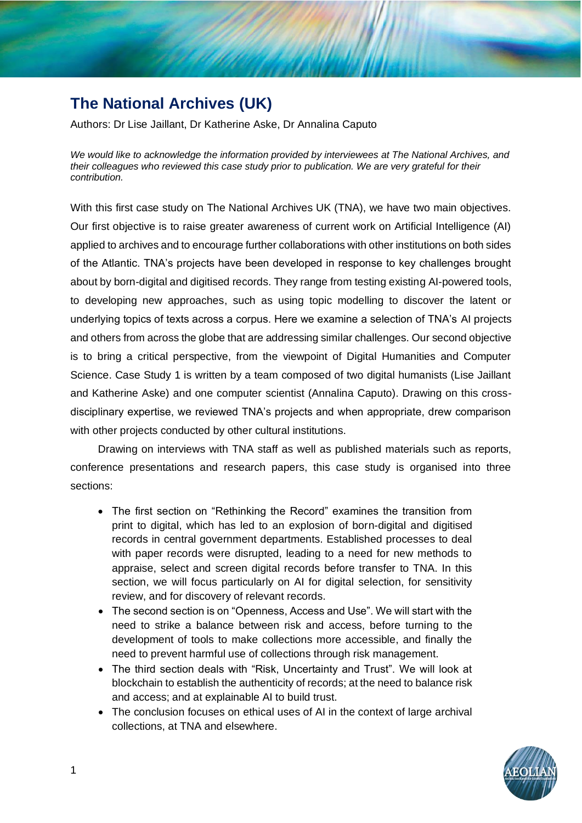# **The National Archives (UK)**

Authors: Dr Lise Jaillant, Dr Katherine Aske, Dr Annalina Caputo

*We would like to acknowledge the information provided by interviewees at The National Archives, and their colleagues who reviewed this case study prior to publication. We are very grateful for their contribution.*

With this first case study on The National Archives UK (TNA), we have two main objectives. Our first objective is to raise greater awareness of current work on Artificial Intelligence (AI) applied to archives and to encourage further collaborations with other institutions on both sides of the Atlantic. TNA's projects have been developed in response to key challenges brought about by born-digital and digitised records. They range from testing existing AI-powered tools, to developing new approaches, such as using topic modelling to discover the latent or underlying topics of texts across a corpus. Here we examine a selection of TNA's AI projects and others from across the globe that are addressing similar challenges. Our second objective is to bring a critical perspective, from the viewpoint of Digital Humanities and Computer Science. Case Study 1 is written by a team composed of two digital humanists (Lise Jaillant and Katherine Aske) and one computer scientist (Annalina Caputo). Drawing on this crossdisciplinary expertise, we reviewed TNA's projects and when appropriate, drew comparison with other projects conducted by other cultural institutions.

Drawing on interviews with TNA staff as well as published materials such as reports, conference presentations and research papers, this case study is organised into three sections:

- The first section on "Rethinking the Record" examines the transition from print to digital, which has led to an explosion of born-digital and digitised records in central government departments. Established processes to deal with paper records were disrupted, leading to a need for new methods to appraise, select and screen digital records before transfer to TNA. In this section, we will focus particularly on AI for digital selection, for sensitivity review, and for discovery of relevant records.
- The second section is on "Openness, Access and Use". We will start with the need to strike a balance between risk and access, before turning to the development of tools to make collections more accessible, and finally the need to prevent harmful use of collections through risk management.
- The third section deals with "Risk, Uncertainty and Trust". We will look at blockchain to establish the authenticity of records; at the need to balance risk and access; and at explainable AI to build trust.
- The conclusion focuses on ethical uses of AI in the context of large archival collections, at TNA and elsewhere.

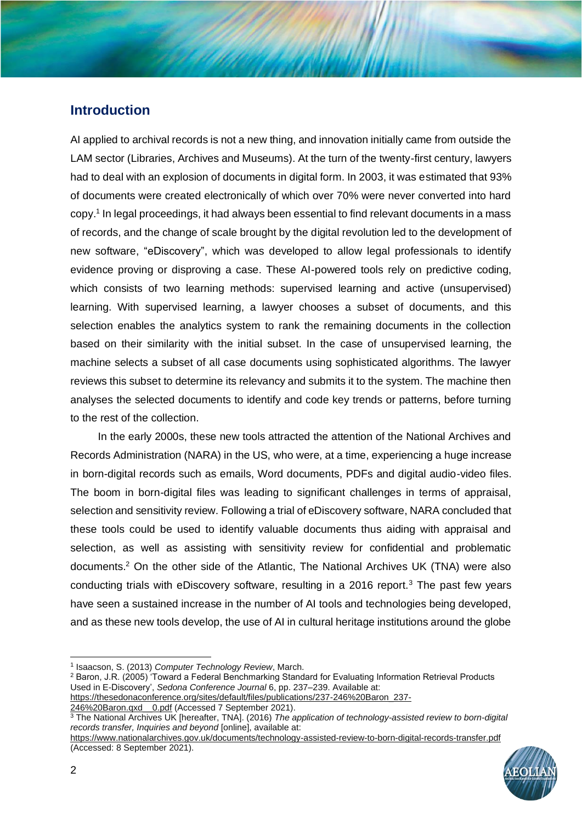## **Introduction**

AI applied to archival records is not a new thing, and innovation initially came from outside the LAM sector (Libraries, Archives and Museums). At the turn of the twenty-first century, lawyers had to deal with an explosion of documents in digital form. In 2003, it was estimated that 93% of documents were created electronically of which over 70% were never converted into hard copy.<sup>1</sup> In legal proceedings, it had always been essential to find relevant documents in a mass of records, and the change of scale brought by the digital revolution led to the development of new software, "eDiscovery", which was developed to allow legal professionals to identify evidence proving or disproving a case. These AI-powered tools rely on predictive coding, which consists of two learning methods: supervised learning and active (unsupervised) learning. With supervised learning, a lawyer chooses a subset of documents, and this selection enables the analytics system to rank the remaining documents in the collection based on their similarity with the initial subset. In the case of unsupervised learning, the machine selects a subset of all case documents using sophisticated algorithms. The lawyer reviews this subset to determine its relevancy and submits it to the system. The machine then analyses the selected documents to identify and code key trends or patterns, before turning to the rest of the collection.

In the early 2000s, these new tools attracted the attention of the National Archives and Records Administration (NARA) in the US, who were, at a time, experiencing a huge increase in born-digital records such as emails, Word documents, PDFs and digital audio-video files. The boom in born-digital files was leading to significant challenges in terms of appraisal, selection and sensitivity review. Following a trial of eDiscovery software, NARA concluded that these tools could be used to identify valuable documents thus aiding with appraisal and selection, as well as assisting with sensitivity review for confidential and problematic documents.<sup>2</sup> On the other side of the Atlantic, The National Archives UK (TNA) were also conducting trials with eDiscovery software, resulting in a 2016 report.<sup>3</sup> The past few years have seen a sustained increase in the number of AI tools and technologies being developed, and as these new tools develop, the use of AI in cultural heritage institutions around the globe

<sup>2</sup> Baron, J.R. (2005) 'Toward a Federal Benchmarking Standard for Evaluating Information Retrieval Products Used in E-Discovery', *Sedona Conference Journal* 6, pp. 237–239. Available at:

[https://thesedonaconference.org/sites/default/files/publications/237-246%20Baron\\_237-](https://thesedonaconference.org/sites/default/files/publications/237-246%20Baron_237-246%20Baron.qxd__0.pdf) 246%20Baron.qxd 0.pdf (Accessed 7 September 2021).

<sup>3</sup> The National Archives UK [hereafter, TNA]. (2016) *The application of technology-assisted review to born-digital records transfer, Inquiries and beyond* [online], available at:

<https://www.nationalarchives.gov.uk/documents/technology-assisted-review-to-born-digital-records-transfer.pdf> (Accessed: 8 September 2021).



<sup>1</sup> Isaacson, S. (2013) *Computer Technology Review*, March.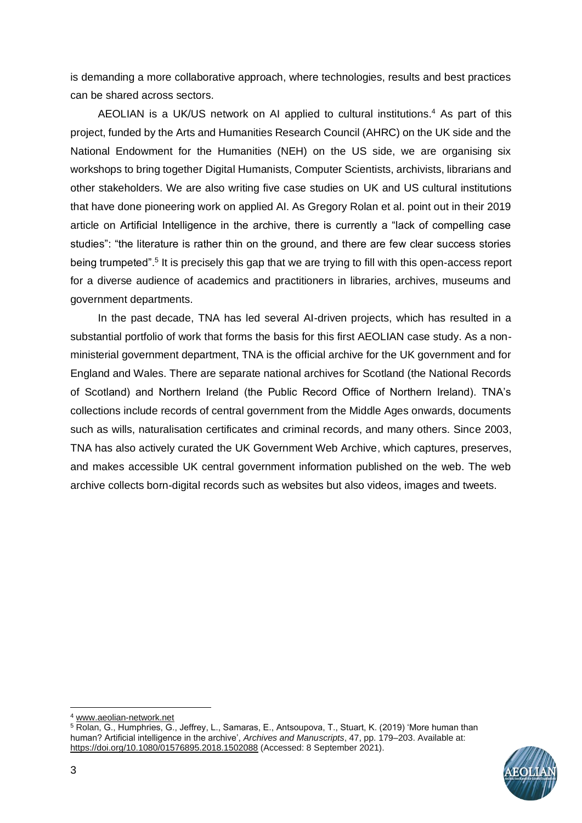is demanding a more collaborative approach, where technologies, results and best practices can be shared across sectors.

AEOLIAN is a UK/US network on AI applied to cultural institutions.<sup>4</sup> As part of this project, funded by the Arts and Humanities Research Council (AHRC) on the UK side and the National Endowment for the Humanities (NEH) on the US side, we are organising six workshops to bring together Digital Humanists, Computer Scientists, archivists, librarians and other stakeholders. We are also writing five case studies on UK and US cultural institutions that have done pioneering work on applied AI. As Gregory Rolan et al. point out in their 2019 article on Artificial Intelligence in the archive, there is currently a "lack of compelling case studies": "the literature is rather thin on the ground, and there are few clear success stories being trumpeted".<sup>5</sup> It is precisely this gap that we are trying to fill with this open-access report for a diverse audience of academics and practitioners in libraries, archives, museums and government departments.

In the past decade, TNA has led several AI-driven projects, which has resulted in a substantial portfolio of work that forms the basis for this first AEOLIAN case study. As a nonministerial government department, TNA is the official archive for the UK government and for England and Wales. There are separate national archives for Scotland (the National Records of Scotland) and Northern Ireland (the Public Record Office of Northern Ireland). TNA's collections include records of central government from the Middle Ages onwards, documents such as wills, naturalisation certificates and criminal records, and many others. Since 2003, TNA has also actively curated the UK Government Web Archive, which captures, preserves, and makes accessible UK central government information published on the web. The web archive collects born-digital records such as websites but also videos, images and tweets.

<sup>5</sup> Rolan, G., Humphries, G., Jeffrey, L., Samaras, E., Antsoupova, T., Stuart, K. (2019) 'More human than human? Artificial intelligence in the archive', *Archives and Manuscripts*, 47, pp. 179–203. Available at: <https://doi.org/10.1080/01576895.2018.1502088> (Accessed: 8 September 2021).



<sup>4</sup> [www.aeolian-network.net](http://www.aeolian-network.net/)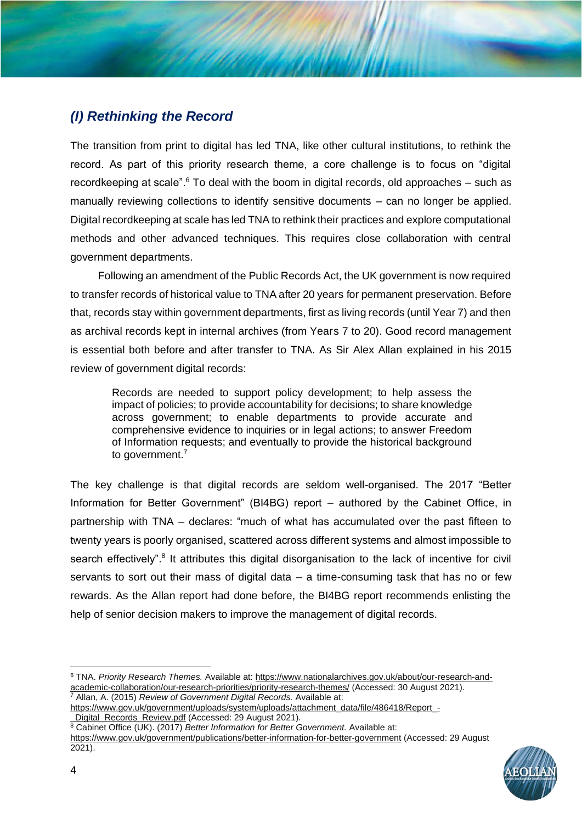## *(I) Rethinking the Record*

The transition from print to digital has led TNA, like other cultural institutions, to rethink the record. As part of this priority research theme, a core challenge is to focus on "digital recordkeeping at scale". $6$  To deal with the boom in digital records, old approaches – such as manually reviewing collections to identify sensitive documents – can no longer be applied. Digital recordkeeping at scale has led TNA to rethink their practices and explore computational methods and other advanced techniques. This requires close collaboration with central government departments.

Following an amendment of the Public Records Act, the UK government is now required to transfer records of historical value to TNA after 20 years for permanent preservation. Before that, records stay within government departments, first as living records (until Year 7) and then as archival records kept in internal archives (from Years 7 to 20). Good record management is essential both before and after transfer to TNA. As Sir Alex Allan explained in his 2015 review of government digital records:

Records are needed to support policy development; to help assess the impact of policies; to provide accountability for decisions; to share knowledge across government; to enable departments to provide accurate and comprehensive evidence to inquiries or in legal actions; to answer Freedom of Information requests; and eventually to provide the historical background to government.<sup>7</sup>

The key challenge is that digital records are seldom well-organised. The 2017 "Better Information for Better Government" (BI4BG) report – authored by the Cabinet Office, in partnership with TNA – declares: "much of what has accumulated over the past fifteen to twenty years is poorly organised, scattered across different systems and almost impossible to search effectively".<sup>8</sup> It attributes this digital disorganisation to the lack of incentive for civil servants to sort out their mass of digital data – a time-consuming task that has no or few rewards. As the Allan report had done before, the BI4BG report recommends enlisting the help of senior decision makers to improve the management of digital records.

<sup>6</sup> TNA. *Priority Research Themes.* Available at: [https://www.nationalarchives.gov.uk/about/our-research-and](https://www.nationalarchives.gov.uk/about/our-research-and-academic-collaboration/our-research-priorities/priority-research-themes/)[academic-collaboration/our-research-priorities/priority-research-themes/](https://www.nationalarchives.gov.uk/about/our-research-and-academic-collaboration/our-research-priorities/priority-research-themes/) (Accessed: 30 August 2021). <sup>7</sup> Allan, A. (2015) *Review of Government Digital Records.* Available at:

[https://www.gov.uk/government/uploads/system/uploads/attachment\\_data/file/486418/Report\\_-](https://www.gov.uk/government/uploads/system/uploads/attachment_data/file/486418/Report_-_Digital_Records_Review.pdf) Digital\_Records\_Review.pdf (Accessed: 29 August 2021).

8 Cabinet Office (UK). (2017) *Better Information for Better Government*. Available at: <https://www.gov.uk/government/publications/better-information-for-better-government> (Accessed: 29 August 2021).

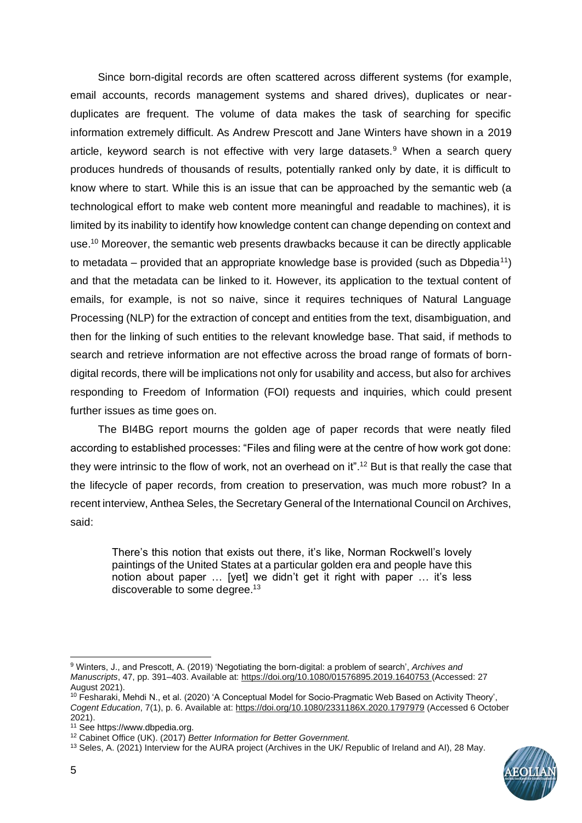Since born-digital records are often scattered across different systems (for example, email accounts, records management systems and shared drives), duplicates or nearduplicates are frequent. The volume of data makes the task of searching for specific information extremely difficult. As Andrew Prescott and Jane Winters have shown in a 2019 article, keyword search is not effective with very large datasets.<sup>9</sup> When a search query produces hundreds of thousands of results, potentially ranked only by date, it is difficult to know where to start. While this is an issue that can be approached by the semantic web (a technological effort to make web content more meaningful and readable to machines), it is limited by its inability to identify how knowledge content can change depending on context and use.<sup>10</sup> Moreover, the semantic web presents drawbacks because it can be directly applicable to metadata – provided that an appropriate knowledge base is provided (such as Dbpedia<sup>11</sup>) and that the metadata can be linked to it. However, its application to the textual content of emails, for example, is not so naive, since it requires techniques of Natural Language Processing (NLP) for the extraction of concept and entities from the text, disambiguation, and then for the linking of such entities to the relevant knowledge base. That said, if methods to search and retrieve information are not effective across the broad range of formats of borndigital records, there will be implications not only for usability and access, but also for archives responding to Freedom of Information (FOI) requests and inquiries, which could present further issues as time goes on.

The BI4BG report mourns the golden age of paper records that were neatly filed according to established processes: "Files and filing were at the centre of how work got done: they were intrinsic to the flow of work, not an overhead on it".<sup>12</sup> But is that really the case that the lifecycle of paper records, from creation to preservation, was much more robust? In a recent interview, Anthea Seles, the Secretary General of the International Council on Archives, said:

There's this notion that exists out there, it's like, Norman Rockwell's lovely paintings of the United States at a particular golden era and people have this notion about paper … [yet] we didn't get it right with paper … it's less discoverable to some degree.<sup>13</sup>

<sup>13</sup> Seles, A. (2021) Interview for the AURA project (Archives in the UK/ Republic of Ireland and AI), 28 May.



<sup>9</sup> Winters, J., and Prescott, A. (2019) 'Negotiating the born-digital: a problem of search', *Archives and Manuscripts*, 47, pp. 391–403. Available at:<https://doi.org/10.1080/01576895.2019.1640753> (Accessed: 27 August 2021).

<sup>10</sup> Fesharaki, Mehdi N., et al. (2020) 'A Conceptual Model for Socio-Pragmatic Web Based on Activity Theory', *Cogent Education*, 7(1), p. 6. Available at:<https://doi.org/10.1080/2331186X.2020.1797979> (Accessed 6 October 2021).

<sup>11</sup> See https://www.dbpedia.org.

<sup>12</sup> Cabinet Office (UK). (2017) *Better Information for Better Government.*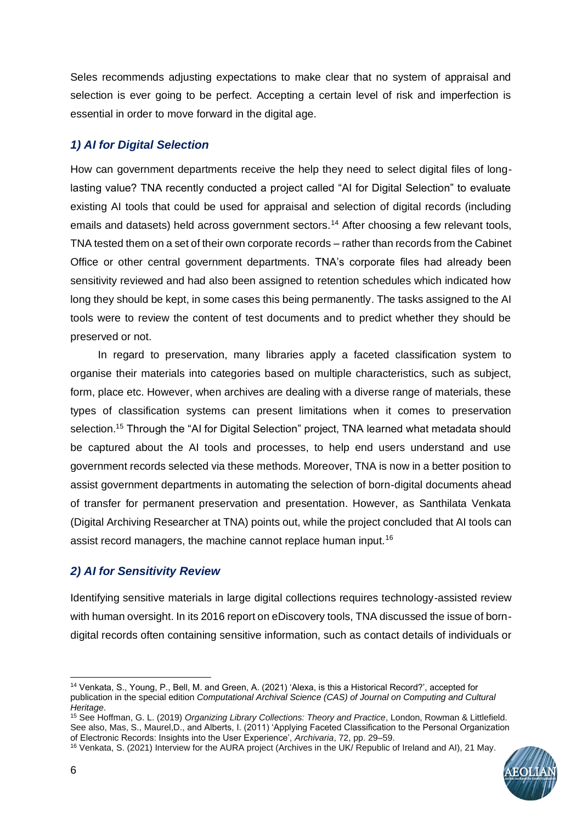Seles recommends adjusting expectations to make clear that no system of appraisal and selection is ever going to be perfect. Accepting a certain level of risk and imperfection is essential in order to move forward in the digital age.

## *1) AI for Digital Selection*

How can government departments receive the help they need to select digital files of longlasting value? TNA recently conducted a project called "AI for Digital Selection" to evaluate existing AI tools that could be used for appraisal and selection of digital records (including emails and datasets) held across government sectors.<sup>14</sup> After choosing a few relevant tools, TNA tested them on a set of their own corporate records – rather than records from the Cabinet Office or other central government departments. TNA's corporate files had already been sensitivity reviewed and had also been assigned to retention schedules which indicated how long they should be kept, in some cases this being permanently. The tasks assigned to the AI tools were to review the content of test documents and to predict whether they should be preserved or not.

In regard to preservation, many libraries apply a faceted classification system to organise their materials into categories based on multiple characteristics, such as subject, form, place etc. However, when archives are dealing with a diverse range of materials, these types of classification systems can present limitations when it comes to preservation selection.<sup>15</sup> Through the "AI for Digital Selection" project, TNA learned what metadata should be captured about the AI tools and processes, to help end users understand and use government records selected via these methods. Moreover, TNA is now in a better position to assist government departments in automating the selection of born-digital documents ahead of transfer for permanent preservation and presentation. However, as Santhilata Venkata (Digital Archiving Researcher at TNA) points out, while the project concluded that AI tools can assist record managers, the machine cannot replace human input.<sup>16</sup>

## *2) AI for Sensitivity Review*

Identifying sensitive materials in large digital collections requires technology-assisted review with human oversight. In its 2016 report on eDiscovery tools, TNA discussed the issue of borndigital records often containing sensitive information, such as contact details of individuals or

<sup>16</sup> Venkata, S. (2021) Interview for the AURA project (Archives in the UK/ Republic of Ireland and AI), 21 May.



<sup>14</sup> Venkata, S., Young, P., Bell, M. and Green, A. (2021) 'Alexa, is this a Historical Record?', accepted for publication in the special edition *Computational Archival Science (CAS) of Journal on Computing and Cultural Heritage*.

<sup>15</sup> See Hoffman, G. L. (2019) *Organizing Library Collections: Theory and Practice*, London, Rowman & Littlefield. See also, Mas, S., Maurel,D., and Alberts, I. (2011) 'Applying Faceted Classification to the Personal Organization of Electronic Records: Insights into the User Experience', *Archivaria*, 72, pp. 29–59.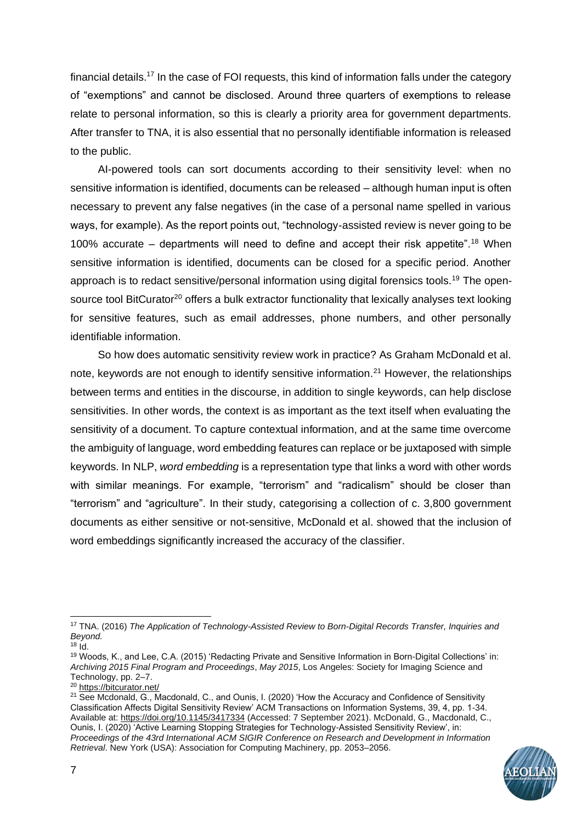financial details.<sup>17</sup> In the case of FOI requests, this kind of information falls under the category of "exemptions" and cannot be disclosed. Around three quarters of exemptions to release relate to personal information, so this is clearly a priority area for government departments. After transfer to TNA, it is also essential that no personally identifiable information is released to the public.

AI-powered tools can sort documents according to their sensitivity level: when no sensitive information is identified, documents can be released – although human input is often necessary to prevent any false negatives (in the case of a personal name spelled in various ways, for example). As the report points out, "technology-assisted review is never going to be 100% accurate – departments will need to define and accept their risk appetite".<sup>18</sup> When sensitive information is identified, documents can be closed for a specific period. Another approach is to redact sensitive/personal information using digital forensics tools.<sup>19</sup> The opensource tool BitCurator<sup>20</sup> offers a bulk extractor functionality that lexically analyses text looking for sensitive features, such as email addresses, phone numbers, and other personally identifiable information.

So how does automatic sensitivity review work in practice? As Graham McDonald et al. note, keywords are not enough to identify sensitive information.<sup>21</sup> However, the relationships between terms and entities in the discourse, in addition to single keywords, can help disclose sensitivities. In other words, the context is as important as the text itself when evaluating the sensitivity of a document. To capture contextual information, and at the same time overcome the ambiguity of language, word embedding features can replace or be juxtaposed with simple keywords. In NLP, *word embedding* is a representation type that links a word with other words with similar meanings. For example, "terrorism" and "radicalism" should be closer than "terrorism" and "agriculture". In their study, categorising a collection of c. 3,800 government documents as either sensitive or not-sensitive, McDonald et al. showed that the inclusion of word embeddings significantly increased the accuracy of the classifier.

<sup>&</sup>lt;sup>21</sup> See Mcdonald, G., Macdonald, C., and Ounis, I. (2020) 'How the Accuracy and Confidence of Sensitivity Classification Affects Digital Sensitivity Review' ACM Transactions on Information Systems, 39, 4, pp. 1-34. Available at[: https://doi.org/10.1145/3417334](https://doi.org/10.1145/3417334) (Accessed: 7 September 2021). McDonald, G., Macdonald, C., Ounis, I. (2020) 'Active Learning Stopping Strategies for Technology-Assisted Sensitivity Review', in: *Proceedings of the 43rd International ACM SIGIR Conference on Research and Development in Information Retrieval*. New York (USA): Association for Computing Machinery, pp. 2053–2056.



<sup>17</sup> TNA. (2016) *The Application of Technology-Assisted Review to Born-Digital Records Transfer, Inquiries and Beyond.*

 $18$   $\dot{\mathrm{Id}}$ .

<sup>19</sup> Woods, K., and Lee, C.A. (2015) 'Redacting Private and Sensitive Information in Born-Digital Collections' in: *Archiving 2015 Final Program and Proceedings*, *May 2015*, Los Angeles: Society for Imaging Science and Technology, pp. 2–7.

<sup>20</sup> <https://bitcurator.net/>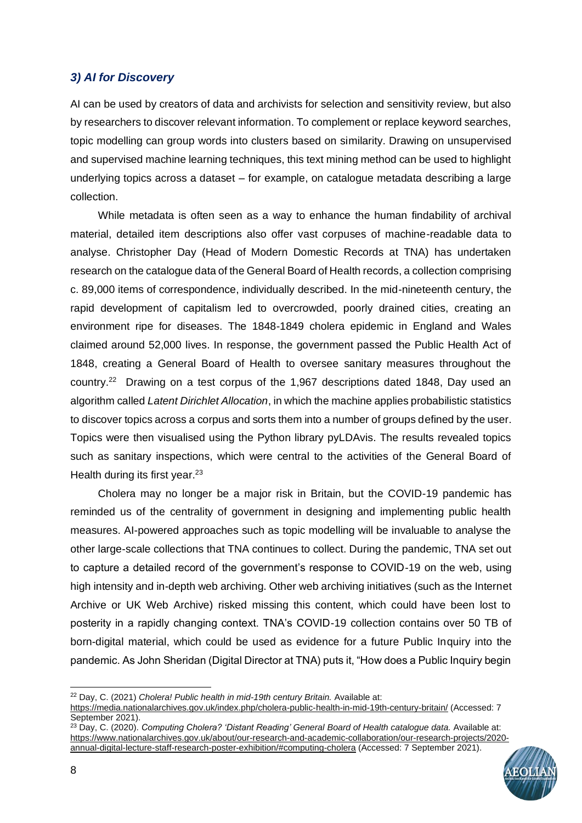## *3) AI for Discovery*

AI can be used by creators of data and archivists for selection and sensitivity review, but also by researchers to discover relevant information. To complement or replace keyword searches, topic modelling can group words into clusters based on similarity. Drawing on unsupervised and supervised machine learning techniques, this text mining method can be used to highlight underlying topics across a dataset – for example, on catalogue metadata describing a large collection.

While metadata is often seen as a way to enhance the human findability of archival material, detailed item descriptions also offer vast corpuses of machine-readable data to analyse. Christopher Day (Head of Modern Domestic Records at TNA) has undertaken research on the catalogue data of the General Board of Health records, a collection comprising c. 89,000 items of correspondence, individually described. In the mid-nineteenth century, the rapid development of capitalism led to overcrowded, poorly drained cities, creating an environment ripe for diseases. The 1848-1849 cholera epidemic in England and Wales claimed around 52,000 lives. In response, the government passed the Public Health Act of 1848, creating a General Board of Health to oversee sanitary measures throughout the country.<sup>22</sup> Drawing on a test corpus of the 1,967 descriptions dated 1848, Day used an algorithm called *Latent Dirichlet Allocation*, in which the machine applies probabilistic statistics to discover topics across a corpus and sorts them into a number of groups defined by the user. Topics were then visualised using the Python library pyLDAvis. The results revealed topics such as sanitary inspections, which were central to the activities of the General Board of Health during its first year. $23$ 

Cholera may no longer be a major risk in Britain, but the COVID-19 pandemic has reminded us of the centrality of government in designing and implementing public health measures. AI-powered approaches such as topic modelling will be invaluable to analyse the other large-scale collections that TNA continues to collect. During the pandemic, TNA set out to capture a detailed record of the government's response to COVID-19 on the web, using high intensity and in-depth web archiving. Other web archiving initiatives (such as the Internet Archive or UK Web Archive) risked missing this content, which could have been lost to posterity in a rapidly changing context. TNA's COVID-19 collection contains over 50 TB of born-digital material, which could be used as evidence for a future Public Inquiry into the pandemic. As John Sheridan (Digital Director at TNA) puts it, "How does a Public Inquiry begin

<sup>23</sup> Day, C. (2020). *Computing Cholera? 'Distant Reading' General Board of Health catalogue data.* Available at: [https://www.nationalarchives.gov.uk/about/our-research-and-academic-collaboration/our-research-projects/2020](https://www.nationalarchives.gov.uk/about/our-research-and-academic-collaboration/our-research-projects/2020-annual-digital-lecture-staff-research-poster-exhibition/#computing-cholera) [annual-digital-lecture-staff-research-poster-exhibition/#computing-cholera](https://www.nationalarchives.gov.uk/about/our-research-and-academic-collaboration/our-research-projects/2020-annual-digital-lecture-staff-research-poster-exhibition/#computing-cholera) (Accessed: 7 September 2021).



<sup>22</sup> Day, C. (2021) *Cholera! Public health in mid-19th century Britain.* Available at:

<https://media.nationalarchives.gov.uk/index.php/cholera-public-health-in-mid-19th-century-britain/> (Accessed: 7 September 2021).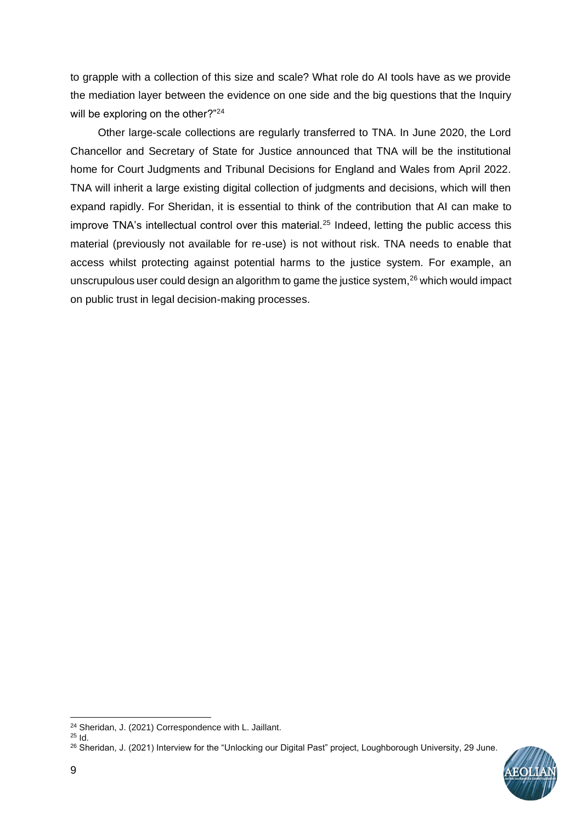to grapple with a collection of this size and scale? What role do AI tools have as we provide the mediation layer between the evidence on one side and the big questions that the Inquiry will be exploring on the other?"<sup>24</sup>

Other large-scale collections are regularly transferred to TNA. In June 2020, the Lord Chancellor and Secretary of State for Justice announced that TNA will be the institutional home for Court Judgments and Tribunal Decisions for England and Wales from April 2022. TNA will inherit a large existing digital collection of judgments and decisions, which will then expand rapidly. For Sheridan, it is essential to think of the contribution that AI can make to improve TNA's intellectual control over this material. $25$  Indeed, letting the public access this material (previously not available for re-use) is not without risk. TNA needs to enable that access whilst protecting against potential harms to the justice system. For example, an unscrupulous user could design an algorithm to game the justice system, $^{26}$  which would impact on public trust in legal decision-making processes.

<sup>&</sup>lt;sup>26</sup> Sheridan, J. (2021) Interview for the "Unlocking our Digital Past" project, Loughborough University, 29 June.



<sup>24</sup> Sheridan, J. (2021) Correspondence with L. Jaillant.

<sup>25</sup> Id.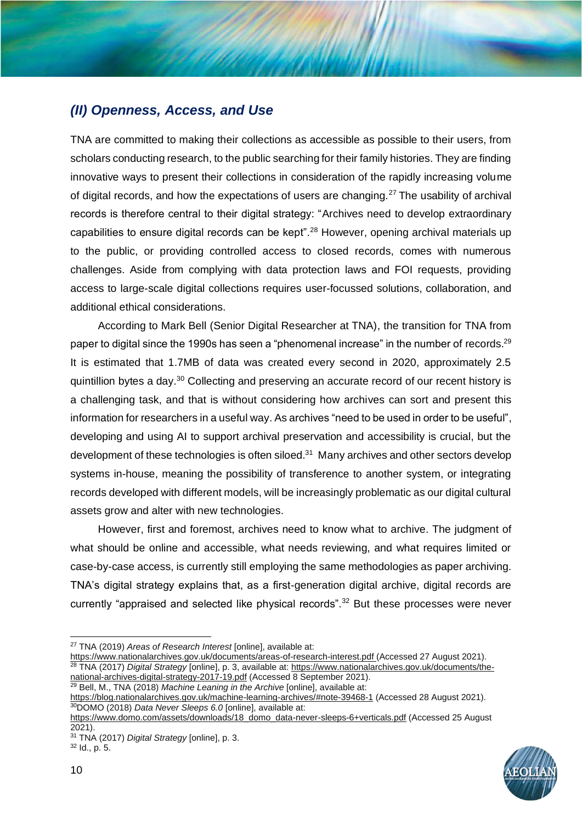## *(II) Openness, Access, and Use*

TNA are committed to making their collections as accessible as possible to their users, from scholars conducting research, to the public searching for their family histories. They are finding innovative ways to present their collections in consideration of the rapidly increasing volume of digital records, and how the expectations of users are changing.<sup>27</sup> The usability of archival records is therefore central to their digital strategy: "Archives need to develop extraordinary capabilities to ensure digital records can be kept".<sup>28</sup> However, opening archival materials up to the public, or providing controlled access to closed records, comes with numerous challenges. Aside from complying with data protection laws and FOI requests, providing access to large-scale digital collections requires user-focussed solutions, collaboration, and additional ethical considerations.

According to Mark Bell (Senior Digital Researcher at TNA), the transition for TNA from paper to digital since the 1990s has seen a "phenomenal increase" in the number of records.<sup>29</sup> It is estimated that 1.7MB of data was created every second in 2020, approximately 2.5 quintillion bytes a day.<sup>30</sup> Collecting and preserving an accurate record of our recent history is a challenging task, and that is without considering how archives can sort and present this information for researchers in a useful way. As archives "need to be used in order to be useful", developing and using AI to support archival preservation and accessibility is crucial, but the development of these technologies is often siloed.<sup>31</sup> Many archives and other sectors develop systems in-house, meaning the possibility of transference to another system, or integrating records developed with different models, will be increasingly problematic as our digital cultural assets grow and alter with new technologies.

However, first and foremost, archives need to know what to archive. The judgment of what should be online and accessible, what needs reviewing, and what requires limited or case-by-case access, is currently still employing the same methodologies as paper archiving. TNA's digital strategy explains that, as a first-generation digital archive, digital records are currently "appraised and selected like physical records".<sup>32</sup> But these processes were never

<https://www.nationalarchives.gov.uk/documents/areas-of-research-interest.pdf> (Accessed 27 August 2021). <sup>28</sup> TNA (2017) *Digital Strategy* [online], p. 3, available at: [https://www.nationalarchives.gov.uk/documents/the](https://www.nationalarchives.gov.uk/documents/the-national-archives-digital-strategy-2017-19.pdf)[national-archives-digital-strategy-2017-19.pdf](https://www.nationalarchives.gov.uk/documents/the-national-archives-digital-strategy-2017-19.pdf) (Accessed 8 September 2021).

<sup>29</sup> Bell, M., TNA (2018) *Machine Leaning in the Archive* [online], available at:

<https://blog.nationalarchives.gov.uk/machine-learning-archives/#note-39468-1> (Accessed 28 August 2021). <sup>30</sup>DOMO (2018) *Data Never Sleeps 6.0* [online], available at:



<sup>27</sup> TNA (2019) *Areas of Research Interest* [online], available at:

[https://www.domo.com/assets/downloads/18\\_domo\\_data-never-sleeps-6+verticals.pdf](https://www.domo.com/assets/downloads/18_domo_data-never-sleeps-6+verticals.pdf) (Accessed 25 August 2021).

<sup>31</sup> TNA (2017) *Digital Strategy* [online], p. 3. <sup>32</sup> Id., p. 5.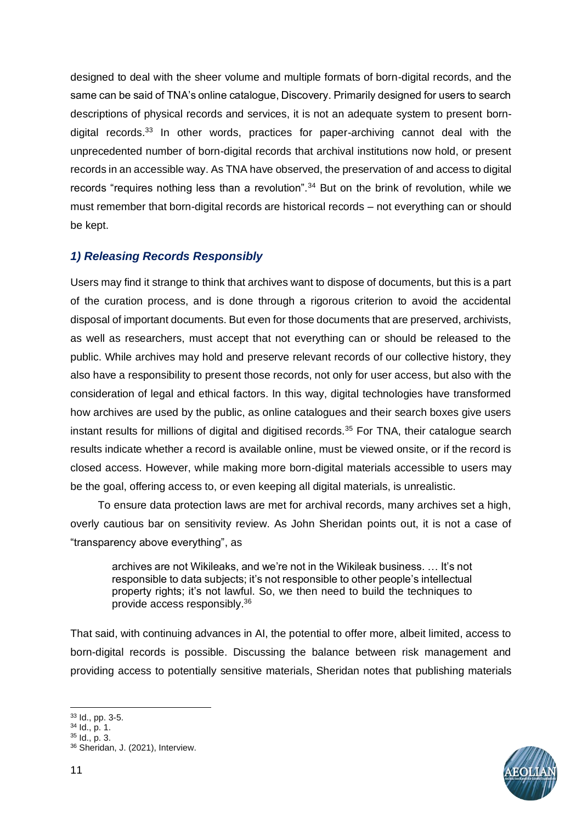designed to deal with the sheer volume and multiple formats of born-digital records, and the same can be said of TNA's online catalogue, Discovery. Primarily designed for users to search descriptions of physical records and services, it is not an adequate system to present borndigital records.<sup>33</sup> In other words, practices for paper-archiving cannot deal with the unprecedented number of born-digital records that archival institutions now hold, or present records in an accessible way. As TNA have observed, the preservation of and access to digital records "requires nothing less than a revolution".<sup>34</sup> But on the brink of revolution, while we must remember that born-digital records are historical records – not everything can or should be kept.

## *1) Releasing Records Responsibly*

Users may find it strange to think that archives want to dispose of documents, but this is a part of the curation process, and is done through a rigorous criterion to avoid the accidental disposal of important documents. But even for those documents that are preserved, archivists, as well as researchers, must accept that not everything can or should be released to the public. While archives may hold and preserve relevant records of our collective history, they also have a responsibility to present those records, not only for user access, but also with the consideration of legal and ethical factors. In this way, digital technologies have transformed how archives are used by the public, as online catalogues and their search boxes give users instant results for millions of digital and digitised records.<sup>35</sup> For TNA, their catalogue search results indicate whether a record is available online, must be viewed onsite, or if the record is closed access. However, while making more born-digital materials accessible to users may be the goal, offering access to, or even keeping all digital materials, is unrealistic.

To ensure data protection laws are met for archival records, many archives set a high, overly cautious bar on sensitivity review. As John Sheridan points out, it is not a case of "transparency above everything", as

archives are not Wikileaks, and we're not in the Wikileak business. … It's not responsible to data subjects; it's not responsible to other people's intellectual property rights; it's not lawful. So, we then need to build the techniques to provide access responsibly.<sup>36</sup>

That said, with continuing advances in AI, the potential to offer more, albeit limited, access to born-digital records is possible. Discussing the balance between risk management and providing access to potentially sensitive materials, Sheridan notes that publishing materials

<sup>33</sup> Id., pp. 3-5.

<sup>34</sup> Id., p. 1.

<sup>35</sup> Id., p. 3.

<sup>36</sup> Sheridan, J. (2021), Interview.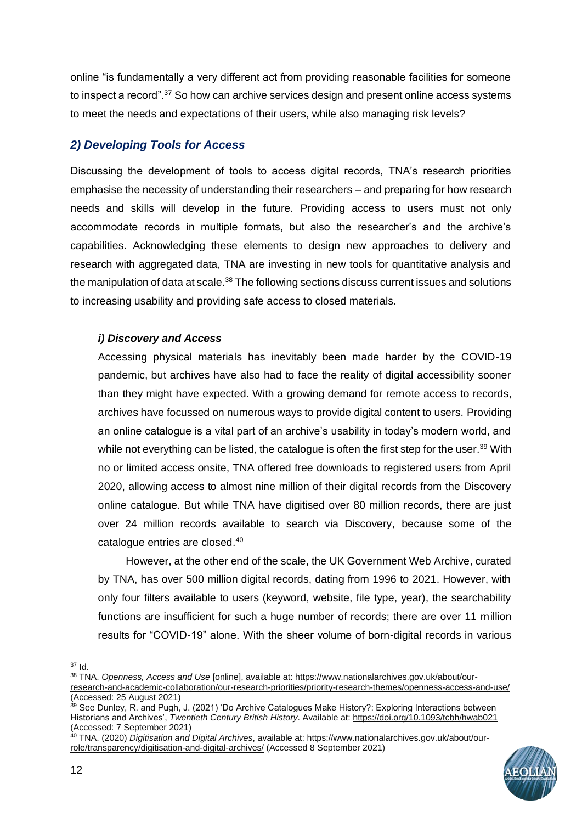online "is fundamentally a very different act from providing reasonable facilities for someone to inspect a record".<sup>37</sup> So how can archive services design and present online access systems to meet the needs and expectations of their users, while also managing risk levels?

## *2) Developing Tools for Access*

Discussing the development of tools to access digital records, TNA's research priorities emphasise the necessity of understanding their researchers – and preparing for how research needs and skills will develop in the future. Providing access to users must not only accommodate records in multiple formats, but also the researcher's and the archive's capabilities. Acknowledging these elements to design new approaches to delivery and research with aggregated data, TNA are investing in new tools for quantitative analysis and the manipulation of data at scale. $38$  The following sections discuss current issues and solutions to increasing usability and providing safe access to closed materials.

### *i) Discovery and Access*

Accessing physical materials has inevitably been made harder by the COVID-19 pandemic, but archives have also had to face the reality of digital accessibility sooner than they might have expected. With a growing demand for remote access to records, archives have focussed on numerous ways to provide digital content to users. Providing an online catalogue is a vital part of an archive's usability in today's modern world, and while not everything can be listed, the catalogue is often the first step for the user.<sup>39</sup> With no or limited access onsite, TNA offered free downloads to registered users from April 2020, allowing access to almost nine million of their digital records from the Discovery online catalogue. But while TNA have digitised over 80 million records, there are just over 24 million records available to search via Discovery, because some of the catalogue entries are closed. 40

However, at the other end of the scale, the UK Government Web Archive, curated by TNA, has over 500 million digital records, dating from 1996 to 2021. However, with only four filters available to users (keyword, website, file type, year), the searchability functions are insufficient for such a huge number of records; there are over 11 million results for "COVID-19" alone. With the sheer volume of born-digital records in various

<sup>37</sup> Id.

<sup>40</sup> TNA. (2020) *Digitisation and Digital Archives*, available at: [https://www.nationalarchives.gov.uk/about/our](https://www.nationalarchives.gov.uk/about/our-role/transparency/digitisation-and-digital-archives/)[role/transparency/digitisation-and-digital-archives/](https://www.nationalarchives.gov.uk/about/our-role/transparency/digitisation-and-digital-archives/) (Accessed 8 September 2021)



<sup>38</sup> TNA. *Openness, Access and Use* [online], available at: [https://www.nationalarchives.gov.uk/about/our](https://www.nationalarchives.gov.uk/about/our-research-and-academic-collaboration/our-research-priorities/priority-research-themes/openness-access-and-use/)[research-and-academic-collaboration/our-research-priorities/priority-research-themes/openness-access-and-use/](https://www.nationalarchives.gov.uk/about/our-research-and-academic-collaboration/our-research-priorities/priority-research-themes/openness-access-and-use/) (Accessed: 25 August 2021)

<sup>&</sup>lt;sup>39</sup> See Dunley, R. and Pugh, J. (2021) 'Do Archive Catalogues Make History?: Exploring Interactions between Historians and Archives', *Twentieth Century British History*. Available at: <https://doi.org/10.1093/tcbh/hwab021> (Accessed: 7 September 2021)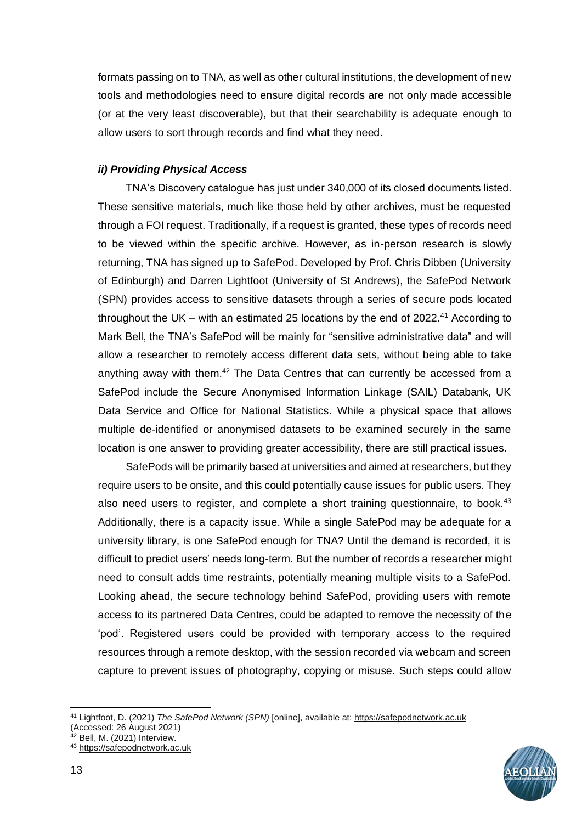formats passing on to TNA, as well as other cultural institutions, the development of new tools and methodologies need to ensure digital records are not only made accessible (or at the very least discoverable), but that their searchability is adequate enough to allow users to sort through records and find what they need.

#### *ii) Providing Physical Access*

TNA's Discovery catalogue has just under 340,000 of its closed documents listed. These sensitive materials, much like those held by other archives, must be requested through a FOI request. Traditionally, if a request is granted, these types of records need to be viewed within the specific archive. However, as in-person research is slowly returning, TNA has signed up to SafePod. Developed by Prof. Chris Dibben (University of Edinburgh) and Darren Lightfoot (University of St Andrews), the SafePod Network (SPN) provides access to sensitive datasets through a series of secure pods located throughout the UK – with an estimated 25 locations by the end of 2022.<sup>41</sup> According to Mark Bell, the TNA's SafePod will be mainly for "sensitive administrative data" and will allow a researcher to remotely access different data sets, without being able to take anything away with them.<sup>42</sup> The Data Centres that can currently be accessed from a SafePod include the Secure Anonymised Information Linkage (SAIL) Databank, UK Data Service and Office for National Statistics. While a physical space that allows multiple de-identified or anonymised datasets to be examined securely in the same location is one answer to providing greater accessibility, there are still practical issues.

SafePods will be primarily based at universities and aimed at researchers, but they require users to be onsite, and this could potentially cause issues for public users. They also need users to register, and complete a short training questionnaire, to book. $43$ Additionally, there is a capacity issue. While a single SafePod may be adequate for a university library, is one SafePod enough for TNA? Until the demand is recorded, it is difficult to predict users' needs long-term. But the number of records a researcher might need to consult adds time restraints, potentially meaning multiple visits to a SafePod. Looking ahead, the secure technology behind SafePod, providing users with remote access to its partnered Data Centres, could be adapted to remove the necessity of the 'pod'. Registered users could be provided with temporary access to the required resources through a remote desktop, with the session recorded via webcam and screen capture to prevent issues of photography, copying or misuse. Such steps could allow

<sup>41</sup> Lightfoot, D. (2021) *The SafePod Network (SPN)* [online], available at: [https://safepodnetwork.ac.uk](https://safepodnetwork.ac.uk/) (Accessed: 26 August 2021)



<sup>43</sup> [https://safepodnetwork.ac.uk](https://safepodnetwork.ac.uk/)

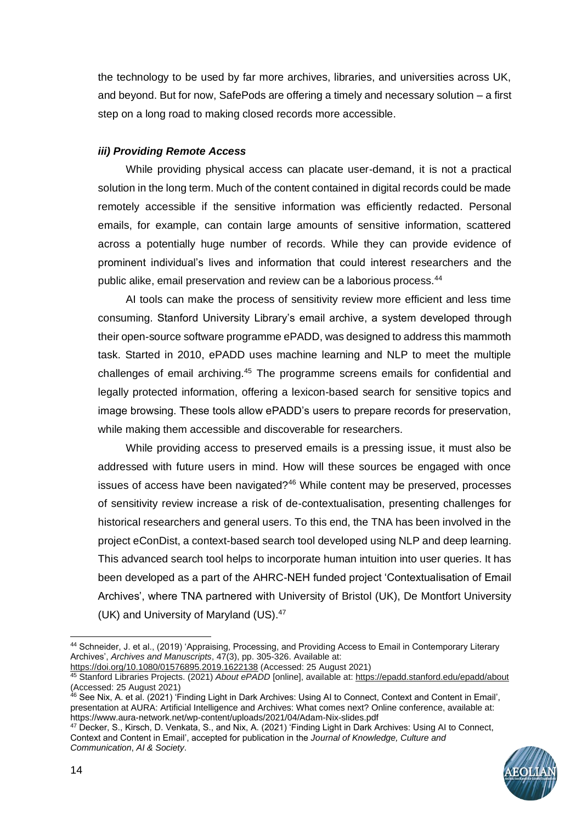the technology to be used by far more archives, libraries, and universities across UK, and beyond. But for now, SafePods are offering a timely and necessary solution – a first step on a long road to making closed records more accessible.

#### *iii) Providing Remote Access*

While providing physical access can placate user-demand, it is not a practical solution in the long term. Much of the content contained in digital records could be made remotely accessible if the sensitive information was efficiently redacted. Personal emails, for example, can contain large amounts of sensitive information, scattered across a potentially huge number of records. While they can provide evidence of prominent individual's lives and information that could interest researchers and the public alike, email preservation and review can be a laborious process.<sup>44</sup>

AI tools can make the process of sensitivity review more efficient and less time consuming. Stanford University Library's email archive, a system developed through their open-source software programme ePADD, was designed to address this mammoth task. Started in 2010, ePADD uses machine learning and NLP to meet the multiple challenges of email archiving.<sup>45</sup> The programme screens emails for confidential and legally protected information, offering a lexicon-based search for sensitive topics and image browsing. These tools allow ePADD's users to prepare records for preservation, while making them accessible and discoverable for researchers.

While providing access to preserved emails is a pressing issue, it must also be addressed with future users in mind. How will these sources be engaged with once issues of access have been navigated?<sup>46</sup> While content may be preserved, processes of sensitivity review increase a risk of de-contextualisation, presenting challenges for historical researchers and general users. To this end, the TNA has been involved in the project eConDist, a context-based search tool developed using NLP and deep learning. This advanced search tool helps to incorporate human intuition into user queries. It has been developed as a part of the AHRC-NEH funded project 'Contextualisation of Email Archives', where TNA partnered with University of Bristol (UK), De Montfort University (UK) and University of Maryland (US).<sup>47</sup>

<sup>47</sup> Decker, S., Kirsch, D. Venkata, S., and Nix, A. (2021) 'Finding Light in Dark Archives: Using AI to Connect, Context and Content in Email', accepted for publication in the *Journal of Knowledge, Culture and Communication*, *AI & Society*.



<sup>44</sup> Schneider, J. et al., (2019) 'Appraising, Processing, and Providing Access to Email in Contemporary Literary Archives', *Archives and Manuscripts*, 47(3), pp. 305-326. Available at:

<https://doi.org/10.1080/01576895.2019.1622138> (Accessed: 25 August 2021)

<sup>45</sup> Stanford Libraries Projects. (2021) *About ePADD* [online], available at:<https://epadd.stanford.edu/epadd/about> (Accessed: 25 August 2021)

<sup>46</sup> See Nix, A. et al. (2021) 'Finding Light in Dark Archives: Using AI to Connect, Context and Content in Email', presentation at AURA: Artificial Intelligence and Archives: What comes next? Online conference, available at: https://www.aura-network.net/wp-content/uploads/2021/04/Adam-Nix-slides.pdf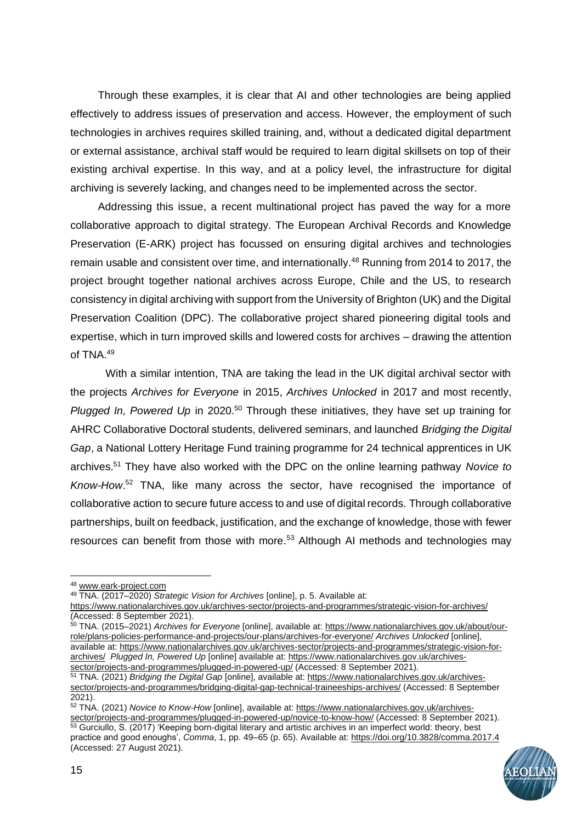Through these examples, it is clear that AI and other technologies are being applied effectively to address issues of preservation and access. However, the employment of such technologies in archives requires skilled training, and, without a dedicated digital department or external assistance, archival staff would be required to learn digital skillsets on top of their existing archival expertise. In this way, and at a policy level, the infrastructure for digital archiving is severely lacking, and changes need to be implemented across the sector.

Addressing this issue, a recent multinational project has paved the way for a more collaborative approach to digital strategy. The European Archival Records and Knowledge Preservation (E-ARK) project has focussed on ensuring digital archives and technologies remain usable and consistent over time, and internationally.<sup>48</sup> Running from 2014 to 2017, the project brought together national archives across Europe, Chile and the US, to research consistency in digital archiving with support from the University of Brighton (UK) and the Digital Preservation Coalition (DPC). The collaborative project shared pioneering digital tools and expertise, which in turn improved skills and lowered costs for archives – drawing the attention of TNA.<sup>49</sup>

With a similar intention, TNA are taking the lead in the UK digital archival sector with the projects *Archives for Everyone* in 2015, *Archives Unlocked* in 2017 and most recently, *Plugged In, Powered Up* in 2020.<sup>50</sup> Through these initiatives, they have set up training for AHRC Collaborative Doctoral students, delivered seminars, and launched *Bridging the Digital Gap*, a National Lottery Heritage Fund training programme for 24 technical apprentices in UK archives.<sup>51</sup> They have also worked with the DPC on the online learning pathway *Novice to Know-How*. <sup>52</sup> TNA, like many across the sector, have recognised the importance of collaborative action to secure future access to and use of digital records. Through collaborative partnerships, built on feedback, justification, and the exchange of knowledge, those with fewer resources can benefit from those with more.<sup>53</sup> Although AI methods and technologies may

<sup>52</sup> TNA. (2021) *Novice to Know-How* [online], available at: [https://www.nationalarchives.gov.uk/archives](https://www.nationalarchives.gov.uk/archives-sector/projects-and-programmes/plugged-in-powered-up/novice-to-know-how/)[sector/projects-and-programmes/plugged-in-powered-up/novice-to-know-how/](https://www.nationalarchives.gov.uk/archives-sector/projects-and-programmes/plugged-in-powered-up/novice-to-know-how/) (Accessed: 8 September 2021).

<sup>53</sup> Gurciullo, S. (2017) 'Keeping born-digital literary and artistic archives in an imperfect world: theory, best practice and good enoughs', *Comma*, 1, pp. 49–65 (p. 65). Available at:<https://doi.org/10.3828/comma.2017.4> (Accessed: 27 August 2021).



<sup>48</sup> [www.eark-project.com](http://www.eark-project.com/)

<sup>49</sup> TNA. (2017–2020) *Strategic Vision for Archives* [online], p. 5. Available at:

<https://www.nationalarchives.gov.uk/archives-sector/projects-and-programmes/strategic-vision-for-archives/> (Accessed: 8 September 2021).

<sup>50</sup> TNA. (2015–2021) *Archives for Everyone* [online], available at: [https://www.nationalarchives.gov.uk/about/our](https://www.nationalarchives.gov.uk/about/our-role/plans-policies-performance-and-projects/our-plans/archives-for-everyone/)[role/plans-policies-performance-and-projects/our-plans/archives-for-everyone/](https://www.nationalarchives.gov.uk/about/our-role/plans-policies-performance-and-projects/our-plans/archives-for-everyone/) *Archives Unlocked* [online], available at[: https://www.nationalarchives.gov.uk/archives-sector/projects-and-programmes/strategic-vision-for](https://www.nationalarchives.gov.uk/archives-sector/projects-and-programmes/strategic-vision-for-archives/)[archives/](https://www.nationalarchives.gov.uk/archives-sector/projects-and-programmes/strategic-vision-for-archives/) *Plugged In, Powered Up* [online] available at: [https://www.nationalarchives.gov.uk/archives](https://www.nationalarchives.gov.uk/archives-sector/projects-and-programmes/plugged-in-powered-up/)[sector/projects-and-programmes/plugged-in-powered-up/](https://www.nationalarchives.gov.uk/archives-sector/projects-and-programmes/plugged-in-powered-up/) (Accessed: 8 September 2021).

<sup>51</sup> TNA. (2021) *Bridging the Digital Gap* [online], available at: [https://www.nationalarchives.gov.uk/archives](https://www.nationalarchives.gov.uk/archives-sector/projects-and-programmes/bridging-digital-gap-technical-traineeships-archives/)[sector/projects-and-programmes/bridging-digital-gap-technical-traineeships-archives/](https://www.nationalarchives.gov.uk/archives-sector/projects-and-programmes/bridging-digital-gap-technical-traineeships-archives/) (Accessed: 8 September 2021).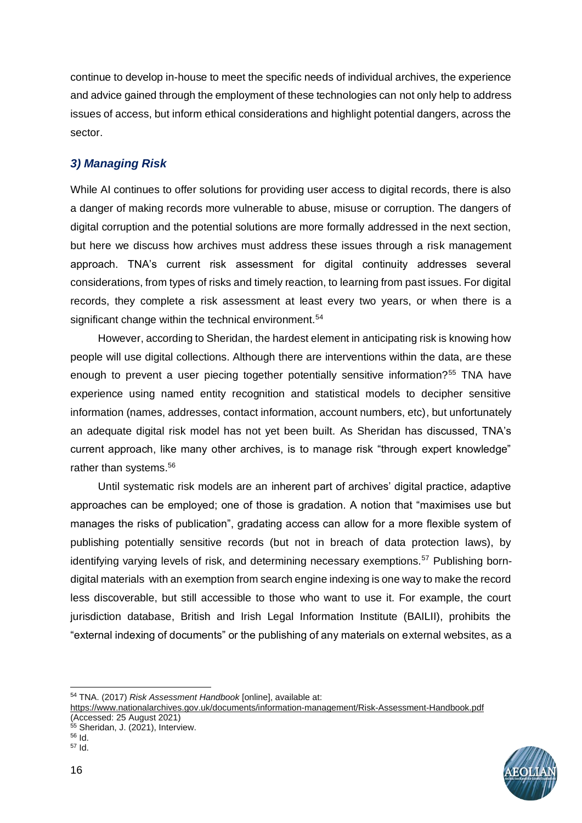continue to develop in-house to meet the specific needs of individual archives, the experience and advice gained through the employment of these technologies can not only help to address issues of access, but inform ethical considerations and highlight potential dangers, across the sector.

## *3) Managing Risk*

While AI continues to offer solutions for providing user access to digital records, there is also a danger of making records more vulnerable to abuse, misuse or corruption. The dangers of digital corruption and the potential solutions are more formally addressed in the next section, but here we discuss how archives must address these issues through a risk management approach. TNA's current risk assessment for digital continuity addresses several considerations, from types of risks and timely reaction, to learning from past issues. For digital records, they complete a risk assessment at least every two years, or when there is a significant change within the technical environment.<sup>54</sup>

However, according to Sheridan, the hardest element in anticipating risk is knowing how people will use digital collections. Although there are interventions within the data, are these enough to prevent a user piecing together potentially sensitive information?<sup>55</sup> TNA have experience using named entity recognition and statistical models to decipher sensitive information (names, addresses, contact information, account numbers, etc), but unfortunately an adequate digital risk model has not yet been built. As Sheridan has discussed, TNA's current approach, like many other archives, is to manage risk "through expert knowledge" rather than systems.<sup>56</sup>

Until systematic risk models are an inherent part of archives' digital practice, adaptive approaches can be employed; one of those is gradation. A notion that "maximises use but manages the risks of publication", gradating access can allow for a more flexible system of publishing potentially sensitive records (but not in breach of data protection laws), by identifying varying levels of risk, and determining necessary exemptions.<sup>57</sup> Publishing borndigital materials with an exemption from search engine indexing is one way to make the record less discoverable, but still accessible to those who want to use it. For example, the court jurisdiction database, British and Irish Legal Information Institute (BAILII), prohibits the "external indexing of documents" or the publishing of any materials on external websites, as a

<sup>54</sup> TNA. (2017) *Risk Assessment Handbook* [online], available at:

<https://www.nationalarchives.gov.uk/documents/information-management/Risk-Assessment-Handbook.pdf> (Accessed: 25 August 2021)



<sup>55</sup> Sheridan, J. (2021), Interview.

<sup>56</sup> Id. <sup>57</sup> Id.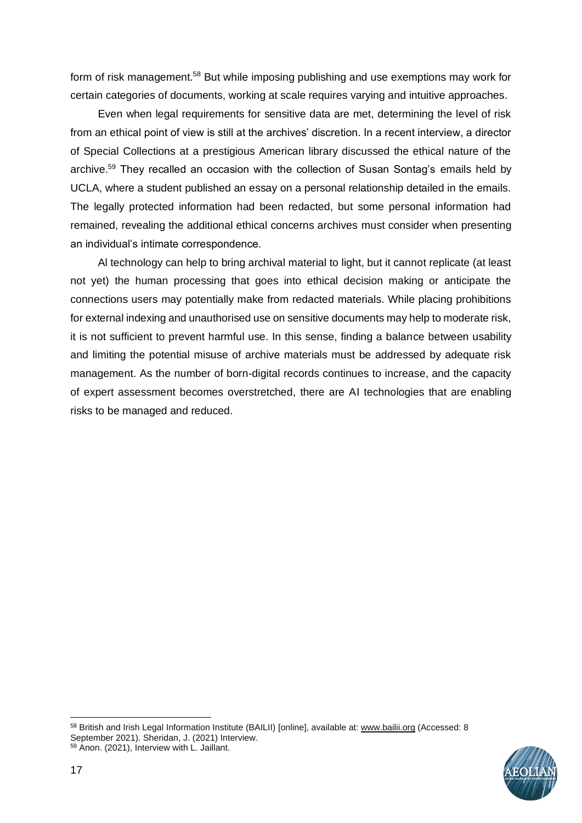form of risk management.<sup>58</sup> But while imposing publishing and use exemptions may work for certain categories of documents, working at scale requires varying and intuitive approaches.

Even when legal requirements for sensitive data are met, determining the level of risk from an ethical point of view is still at the archives' discretion. In a recent interview, a director of Special Collections at a prestigious American library discussed the ethical nature of the archive.<sup>59</sup> They recalled an occasion with the collection of Susan Sontag's emails held by UCLA, where a student published an essay on a personal relationship detailed in the emails. The legally protected information had been redacted, but some personal information had remained, revealing the additional ethical concerns archives must consider when presenting an individual's intimate correspondence.

Al technology can help to bring archival material to light, but it cannot replicate (at least not yet) the human processing that goes into ethical decision making or anticipate the connections users may potentially make from redacted materials. While placing prohibitions for external indexing and unauthorised use on sensitive documents may help to moderate risk, it is not sufficient to prevent harmful use. In this sense, finding a balance between usability and limiting the potential misuse of archive materials must be addressed by adequate risk management. As the number of born-digital records continues to increase, and the capacity of expert assessment becomes overstretched, there are AI technologies that are enabling risks to be managed and reduced.

<sup>58</sup> British and Irish Legal Information Institute (BAILII) [online], available at: [www.bailii.org](http://www.bailii.org/) (Accessed: 8 September 2021). Sheridan, J. (2021) Interview. <sup>59</sup> Anon. (2021), Interview with L. Jaillant.

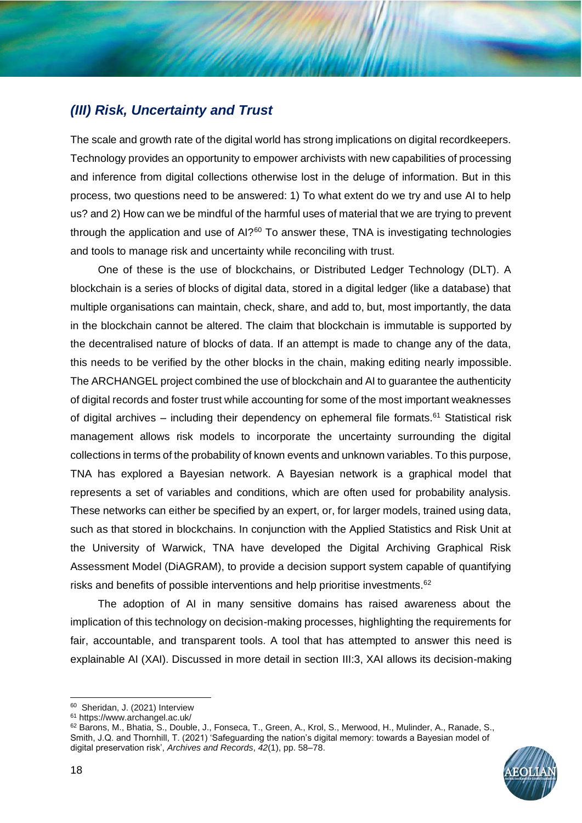## *(III) Risk, Uncertainty and Trust*

The scale and growth rate of the digital world has strong implications on digital recordkeepers. Technology provides an opportunity to empower archivists with new capabilities of processing and inference from digital collections otherwise lost in the deluge of information. But in this process, two questions need to be answered: 1) To what extent do we try and use AI to help us? and 2) How can we be mindful of the harmful uses of material that we are trying to prevent through the application and use of  $A1$ ?<sup>60</sup> To answer these, TNA is investigating technologies and tools to manage risk and uncertainty while reconciling with trust.

One of these is the use of blockchains, or Distributed Ledger Technology (DLT). A blockchain is a series of blocks of digital data, stored in a digital ledger (like a database) that multiple organisations can maintain, check, share, and add to, but, most importantly, the data in the blockchain cannot be altered. The claim that blockchain is immutable is supported by the decentralised nature of blocks of data. If an attempt is made to change any of the data, this needs to be verified by the other blocks in the chain, making editing nearly impossible. The ARCHANGEL project combined the use of blockchain and AI to guarantee the authenticity of digital records and foster trust while accounting for some of the most important weaknesses of digital archives – including their dependency on ephemeral file formats.<sup>61</sup> Statistical risk management allows risk models to incorporate the uncertainty surrounding the digital collections in terms of the probability of known events and unknown variables. To this purpose, TNA has explored a Bayesian network. A Bayesian network is a graphical model that represents a set of variables and conditions, which are often used for probability analysis. These networks can either be specified by an expert, or, for larger models, trained using data, such as that stored in blockchains. In conjunction with the Applied Statistics and Risk Unit at the University of Warwick, TNA have developed the Digital Archiving Graphical Risk Assessment Model (DiAGRAM), to provide a decision support system capable of quantifying risks and benefits of possible interventions and help prioritise investments.<sup>62</sup>

The adoption of AI in many sensitive domains has raised awareness about the implication of this technology on decision-making processes, highlighting the requirements for fair, accountable, and transparent tools. A tool that has attempted to answer this need is explainable AI (XAI). Discussed in more detail in section III:3, XAI allows its decision-making

<sup>62</sup> Barons, M., Bhatia, S., Double, J., Fonseca, T., Green, A., Krol, S., Merwood, H., Mulinder, A., Ranade, S., Smith, J.Q. and Thornhill, T. (2021) 'Safeguarding the nation's digital memory: towards a Bayesian model of digital preservation risk', *Archives and Records*, *42*(1), pp. 58–78.



<sup>&</sup>lt;sup>60</sup> Sheridan, J. (2021) Interview

<sup>61</sup> https://www.archangel.ac.uk/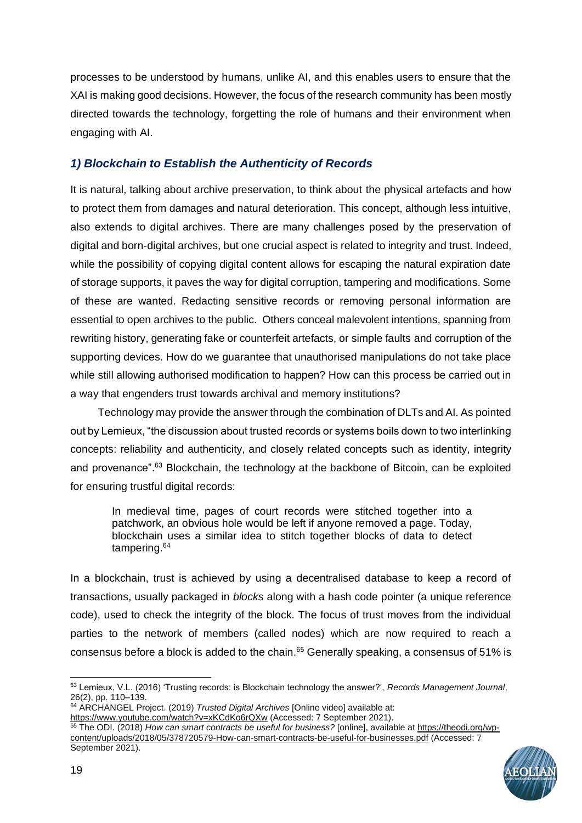processes to be understood by humans, unlike AI, and this enables users to ensure that the XAI is making good decisions. However, the focus of the research community has been mostly directed towards the technology, forgetting the role of humans and their environment when engaging with AI.

## *1) Blockchain to Establish the Authenticity of Records*

It is natural, talking about archive preservation, to think about the physical artefacts and how to protect them from damages and natural deterioration. This concept, although less intuitive, also extends to digital archives. There are many challenges posed by the preservation of digital and born-digital archives, but one crucial aspect is related to integrity and trust. Indeed, while the possibility of copying digital content allows for escaping the natural expiration date of storage supports, it paves the way for digital corruption, tampering and modifications. Some of these are wanted. Redacting sensitive records or removing personal information are essential to open archives to the public. Others conceal malevolent intentions, spanning from rewriting history, generating fake or counterfeit artefacts, or simple faults and corruption of the supporting devices. How do we guarantee that unauthorised manipulations do not take place while still allowing authorised modification to happen? How can this process be carried out in a way that engenders trust towards archival and memory institutions?

Technology may provide the answer through the combination of DLTs and AI. As pointed out by Lemieux, "the discussion about trusted records or systems boils down to two interlinking concepts: reliability and authenticity, and closely related concepts such as identity, integrity and provenance".<sup>63</sup> Blockchain, the technology at the backbone of Bitcoin, can be exploited for ensuring trustful digital records:

In medieval time, pages of court records were stitched together into a patchwork, an obvious hole would be left if anyone removed a page. Today, blockchain uses a similar idea to stitch together blocks of data to detect tampering.<sup>64</sup>

In a blockchain, trust is achieved by using a decentralised database to keep a record of transactions, usually packaged in *blocks* along with a hash code pointer (a unique reference code), used to check the integrity of the block. The focus of trust moves from the individual parties to the network of members (called nodes) which are now required to reach a consensus before a block is added to the chain.<sup>65</sup> Generally speaking, a consensus of 51% is

<sup>65</sup> The ODI. (2018) *How can smart contracts be useful for business?* [online], available at [https://theodi.org/wp](https://theodi.org/wp-content/uploads/2018/05/378720579-How-can-smart-contracts-be-useful-for-businesses.pdf)[content/uploads/2018/05/378720579-How-can-smart-contracts-be-useful-for-businesses.pdf](https://theodi.org/wp-content/uploads/2018/05/378720579-How-can-smart-contracts-be-useful-for-businesses.pdf) (Accessed: 7 September 2021).



<sup>63</sup> Lemieux, V.L. (2016) 'Trusting records: is Blockchain technology the answer?', *Records Management Journal*, 26(2), pp. 110–139.

<sup>64</sup> ARCHANGEL Project. (2019) *Trusted Digital Archives* [Online video] available at: <https://www.youtube.com/watch?v=xKCdKo6rQXw> (Accessed: 7 September 2021).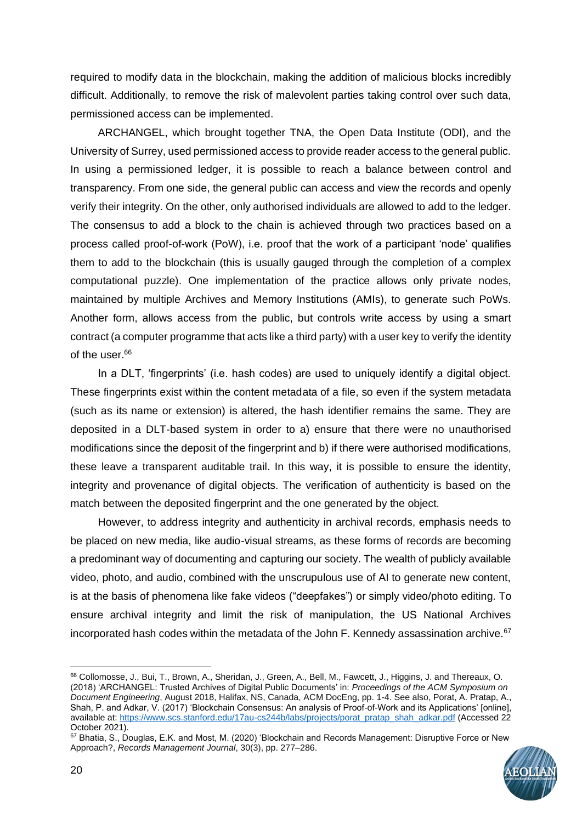required to modify data in the blockchain, making the addition of malicious blocks incredibly difficult. Additionally, to remove the risk of malevolent parties taking control over such data, permissioned access can be implemented.

ARCHANGEL, which brought together TNA, the Open Data Institute (ODI), and the University of Surrey, used permissioned access to provide reader access to the general public. In using a permissioned ledger, it is possible to reach a balance between control and transparency. From one side, the general public can access and view the records and openly verify their integrity. On the other, only authorised individuals are allowed to add to the ledger. The consensus to add a block to the chain is achieved through two practices based on a process called proof-of-work (PoW), i.e. proof that the work of a participant 'node' qualifies them to add to the blockchain (this is usually gauged through the completion of a complex computational puzzle). One implementation of the practice allows only private nodes, maintained by multiple Archives and Memory Institutions (AMIs), to generate such PoWs. Another form, allows access from the public, but controls write access by using a smart contract (a computer programme that acts like a third party) with a user key to verify the identity of the user.<sup>66</sup>

In a DLT, 'fingerprints' (i.e. hash codes) are used to uniquely identify a digital object. These fingerprints exist within the content metadata of a file, so even if the system metadata (such as its name or extension) is altered, the hash identifier remains the same. They are deposited in a DLT-based system in order to a) ensure that there were no unauthorised modifications since the deposit of the fingerprint and b) if there were authorised modifications, these leave a transparent auditable trail. In this way, it is possible to ensure the identity, integrity and provenance of digital objects. The verification of authenticity is based on the match between the deposited fingerprint and the one generated by the object.

However, to address integrity and authenticity in archival records, emphasis needs to be placed on new media, like audio-visual streams, as these forms of records are becoming a predominant way of documenting and capturing our society. The wealth of publicly available video, photo, and audio, combined with the unscrupulous use of AI to generate new content, is at the basis of phenomena like fake videos ("deepfakes") or simply video/photo editing. To ensure archival integrity and limit the risk of manipulation, the US National Archives incorporated hash codes within the metadata of the John F. Kennedy assassination archive.<sup>67</sup>

<sup>67</sup> Bhatia, S., Douglas, E.K. and Most, M. (2020) 'Blockchain and Records Management: Disruptive Force or New Approach?, *Records Management Journal*, 30(3), pp. 277–286.



<sup>66</sup> Collomosse, J., Bui, T., Brown, A., Sheridan, J., Green, A., Bell, M., Fawcett, J., Higgins, J. and Thereaux, O. (2018) 'ARCHANGEL: Trusted Archives of Digital Public Documents' in: *Proceedings of the ACM Symposium on Document Engineering*, August 2018, Halifax, NS, Canada, ACM DocEng, pp. 1-4. See also, Porat, A. Pratap, A., Shah, P. and Adkar, V. (2017) 'Blockchain Consensus: An analysis of Proof-of-Work and its Applications' [online], available at[: https://www.scs.stanford.edu/17au-cs244b/labs/projects/porat\\_pratap\\_shah\\_adkar.pdf](https://www.scs.stanford.edu/17au-cs244b/labs/projects/porat_pratap_shah_adkar.pdf) (Accessed 22 October 2021).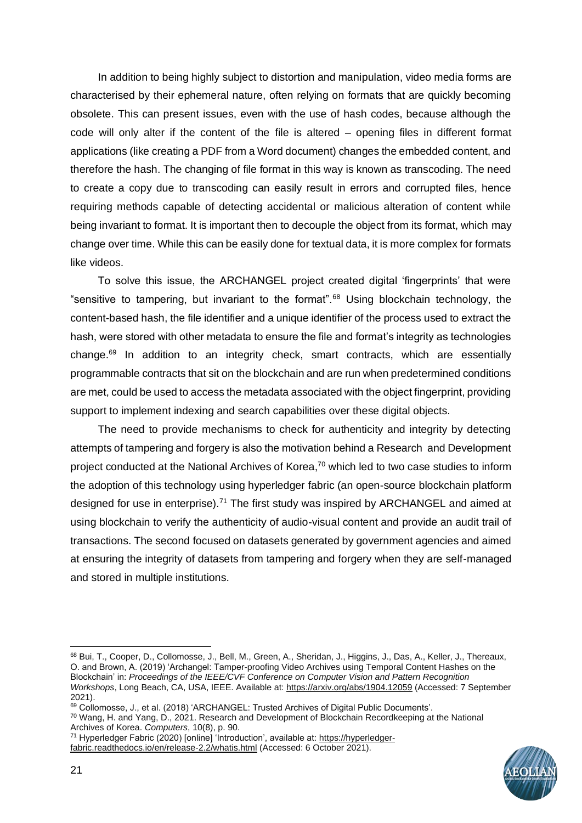In addition to being highly subject to distortion and manipulation, video media forms are characterised by their ephemeral nature, often relying on formats that are quickly becoming obsolete. This can present issues, even with the use of hash codes, because although the code will only alter if the content of the file is altered – opening files in different format applications (like creating a PDF from a Word document) changes the embedded content, and therefore the hash. The changing of file format in this way is known as transcoding. The need to create a copy due to transcoding can easily result in errors and corrupted files, hence requiring methods capable of detecting accidental or malicious alteration of content while being invariant to format. It is important then to decouple the object from its format, which may change over time. While this can be easily done for textual data, it is more complex for formats like videos.

To solve this issue, the ARCHANGEL project created digital 'fingerprints' that were "sensitive to tampering, but invariant to the format".<sup>68</sup> Using blockchain technology, the content-based hash, the file identifier and a unique identifier of the process used to extract the hash, were stored with other metadata to ensure the file and format's integrity as technologies change.<sup>69</sup> In addition to an integrity check, smart contracts, which are essentially programmable contracts that sit on the blockchain and are run when predetermined conditions are met, could be used to access the metadata associated with the object fingerprint, providing support to implement indexing and search capabilities over these digital objects.

The need to provide mechanisms to check for authenticity and integrity by detecting attempts of tampering and forgery is also the motivation behind a Research and Development project conducted at the National Archives of Korea,<sup>70</sup> which led to two case studies to inform the adoption of this technology using hyperledger fabric (an open-source blockchain platform designed for use in enterprise).<sup>71</sup> The first study was inspired by ARCHANGEL and aimed at using blockchain to verify the authenticity of audio-visual content and provide an audit trail of transactions. The second focused on datasets generated by government agencies and aimed at ensuring the integrity of datasets from tampering and forgery when they are self-managed and stored in multiple institutions.



<sup>68</sup> Bui, T., Cooper, D., Collomosse, J., Bell, M., Green, A., Sheridan, J., Higgins, J., Das, A., Keller, J., Thereaux, O. and Brown, A. (2019) 'Archangel: Tamper-proofing Video Archives using Temporal Content Hashes on the Blockchain' in: *Proceedings of the IEEE/CVF Conference on Computer Vision and Pattern Recognition Workshops*, Long Beach, CA, USA, IEEE. Available at:<https://arxiv.org/abs/1904.12059> (Accessed: 7 September 2021).

<sup>69</sup> Collomosse, J., et al. (2018) 'ARCHANGEL: Trusted Archives of Digital Public Documents'.

<sup>70</sup> Wang, H. and Yang, D., 2021. Research and Development of Blockchain Recordkeeping at the National Archives of Korea. *Computers*, 10(8), p. 90.

<sup>71</sup> Hyperledger Fabric (2020) [online] 'Introduction', available at: [https://hyperledger](https://hyperledger-fabric.readthedocs.io/en/release-2.2/whatis.html)[fabric.readthedocs.io/en/release-2.2/whatis.html](https://hyperledger-fabric.readthedocs.io/en/release-2.2/whatis.html) (Accessed: 6 October 2021).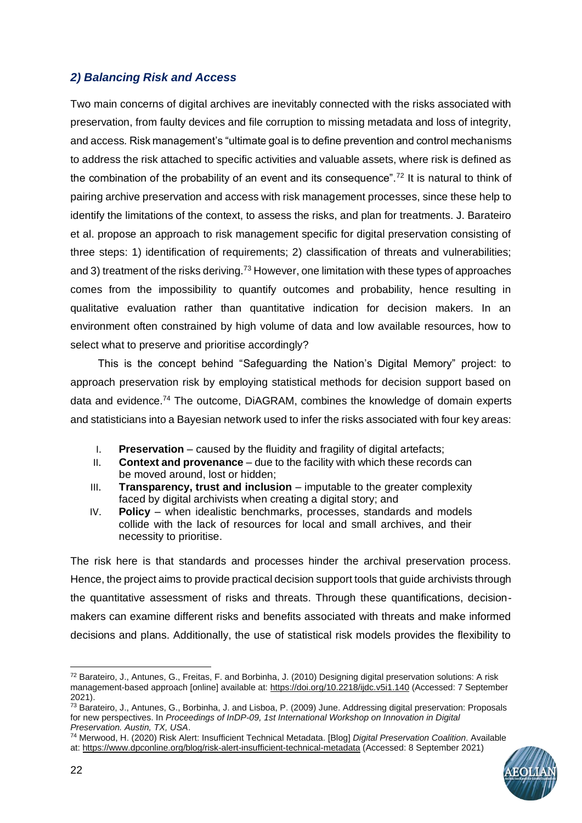## *2) Balancing Risk and Access*

Two main concerns of digital archives are inevitably connected with the risks associated with preservation, from faulty devices and file corruption to missing metadata and loss of integrity, and access*.* Risk management's "ultimate goal is to define prevention and control mechanisms to address the risk attached to specific activities and valuable assets, where risk is defined as the combination of the probability of an event and its consequence".<sup>72</sup> It is natural to think of pairing archive preservation and access with risk management processes, since these help to identify the limitations of the context, to assess the risks, and plan for treatments. J. Barateiro et al. propose an approach to risk management specific for digital preservation consisting of three steps: 1) identification of requirements; 2) classification of threats and vulnerabilities; and 3) treatment of the risks deriving.<sup>73</sup> However, one limitation with these types of approaches comes from the impossibility to quantify outcomes and probability, hence resulting in qualitative evaluation rather than quantitative indication for decision makers. In an environment often constrained by high volume of data and low available resources, how to select what to preserve and prioritise accordingly?

This is the concept behind "Safeguarding the Nation's Digital Memory" project: to approach preservation risk by employing statistical methods for decision support based on data and evidence.<sup>74</sup> The outcome, DiAGRAM, combines the knowledge of domain experts and statisticians into a Bayesian network used to infer the risks associated with four key areas:

- I. **Preservation** caused by the fluidity and fragility of digital artefacts;
- II. **Context and provenance** due to the facility with which these records can be moved around, lost or hidden;
- III. **Transparency, trust and inclusion** imputable to the greater complexity faced by digital archivists when creating a digital story; and
- IV. **Policy**  when idealistic benchmarks, processes, standards and models collide with the lack of resources for local and small archives, and their necessity to prioritise.

The risk here is that standards and processes hinder the archival preservation process. Hence, the project aims to provide practical decision support tools that guide archivists through the quantitative assessment of risks and threats. Through these quantifications, decisionmakers can examine different risks and benefits associated with threats and make informed decisions and plans. Additionally, the use of statistical risk models provides the flexibility to

<sup>74</sup> Merwood, H. (2020) Risk Alert: Insufficient Technical Metadata. [Blog] *Digital Preservation Coalition*. Available at[: https://www.dpconline.org/blog/risk-alert-insufficient-technical-metadata](https://www.dpconline.org/blog/risk-alert-insufficient-technical-metadata) (Accessed: 8 September 2021)



<sup>72</sup> Barateiro, J., Antunes, G., Freitas, F. and Borbinha, J. (2010) Designing digital preservation solutions: A risk management-based approach [online] available at[: https://doi.org/10.2218/ijdc.v5i1.140](https://doi.org/10.2218/ijdc.v5i1.140) (Accessed: 7 September 2021).

<sup>73</sup> Barateiro, J., Antunes, G., Borbinha, J. and Lisboa, P. (2009) June. Addressing digital preservation: Proposals for new perspectives. In *Proceedings of InDP-09, 1st International Workshop on Innovation in Digital Preservation. Austin, TX, USA*.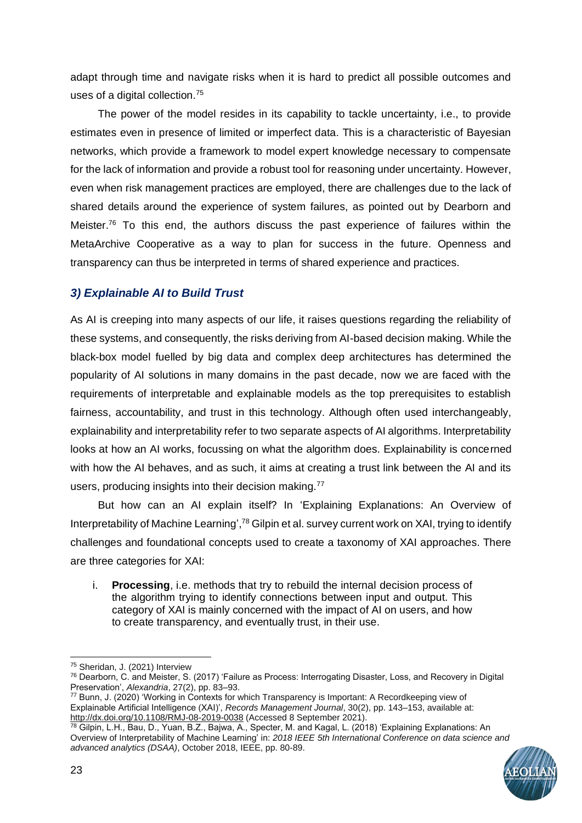adapt through time and navigate risks when it is hard to predict all possible outcomes and uses of a digital collection.<sup>75</sup>

The power of the model resides in its capability to tackle uncertainty, i.e., to provide estimates even in presence of limited or imperfect data. This is a characteristic of Bayesian networks, which provide a framework to model expert knowledge necessary to compensate for the lack of information and provide a robust tool for reasoning under uncertainty. However, even when risk management practices are employed, there are challenges due to the lack of shared details around the experience of system failures, as pointed out by Dearborn and Meister.<sup>76</sup> To this end, the authors discuss the past experience of failures within the MetaArchive Cooperative as a way to plan for success in the future. Openness and transparency can thus be interpreted in terms of shared experience and practices.

## *3) Explainable AI to Build Trust*

As AI is creeping into many aspects of our life, it raises questions regarding the reliability of these systems, and consequently, the risks deriving from AI-based decision making. While the black-box model fuelled by big data and complex deep architectures has determined the popularity of AI solutions in many domains in the past decade, now we are faced with the requirements of interpretable and explainable models as the top prerequisites to establish fairness, accountability, and trust in this technology. Although often used interchangeably, explainability and interpretability refer to two separate aspects of AI algorithms. Interpretability looks at how an AI works, focussing on what the algorithm does. Explainability is concerned with how the AI behaves, and as such, it aims at creating a trust link between the AI and its users, producing insights into their decision making.<sup>77</sup>

But how can an AI explain itself? In 'Explaining Explanations: An Overview of Interpretability of Machine Learning',<sup>78</sup> Gilpin et al. survey current work on XAI, trying to identify challenges and foundational concepts used to create a taxonomy of XAI approaches. There are three categories for XAI:

i. **Processing**, i.e. methods that try to rebuild the internal decision process of the algorithm trying to identify connections between input and output. This category of XAI is mainly concerned with the impact of AI on users, and how to create transparency, and eventually trust, in their use.

<sup>78</sup> Gilpin, L.H., Bau, D., Yuan, B.Z., Bajwa, A., Specter, M. and Kagal, L. (2018) 'Explaining Explanations: An Overview of Interpretability of Machine Learning' in: *2018 IEEE 5th International Conference on data science and advanced analytics (DSAA)*, October 2018, IEEE, pp. 80-89.



<sup>75</sup> Sheridan, J. (2021) Interview

<sup>76</sup> Dearborn, C. and Meister, S. (2017) 'Failure as Process: Interrogating Disaster, Loss, and Recovery in Digital Preservation', *Alexandria*, 27(2), pp. 83–93.

<sup>77</sup> Bunn, J. (2020) 'Working in Contexts for which Transparency is Important: A Recordkeeping view of Explainable Artificial Intelligence (XAI)', *Records Management Journal*, 30(2), pp. 143–153, available at: <http://dx.doi.org/10.1108/RMJ-08-2019-0038> (Accessed 8 September 2021).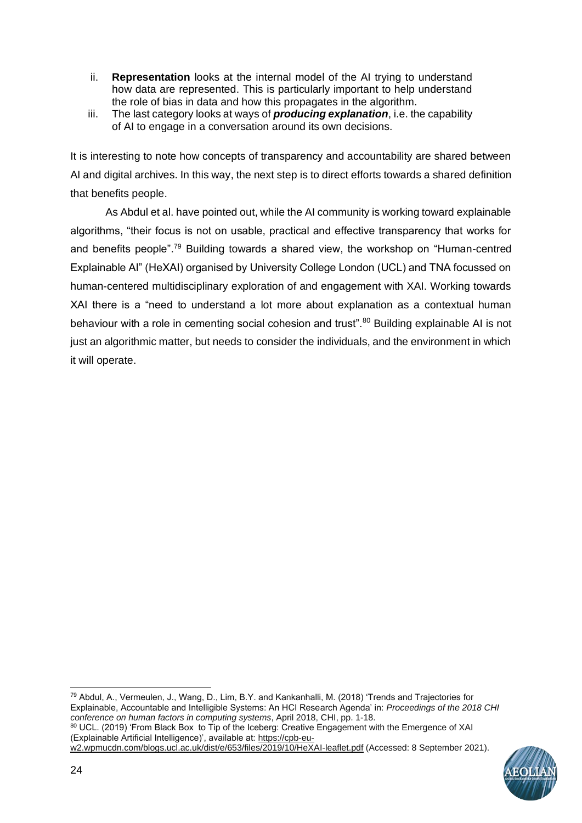- ii. **Representation** looks at the internal model of the AI trying to understand how data are represented. This is particularly important to help understand the role of bias in data and how this propagates in the algorithm.
- iii. The last category looks at ways of *producing explanation*, i.e. the capability of AI to engage in a conversation around its own decisions.

It is interesting to note how concepts of transparency and accountability are shared between AI and digital archives. In this way, the next step is to direct efforts towards a shared definition that benefits people.

As Abdul et al. have pointed out, while the AI community is working toward explainable algorithms, "their focus is not on usable, practical and effective transparency that works for and benefits people".<sup>79</sup> Building towards a shared view, the workshop on "Human-centred Explainable AI" (HeXAI) organised by University College London (UCL) and TNA focussed on human-centered multidisciplinary exploration of and engagement with XAI. Working towards XAI there is a "need to understand a lot more about explanation as a contextual human behaviour with a role in cementing social cohesion and trust".<sup>80</sup> Building explainable AI is not just an algorithmic matter, but needs to consider the individuals, and the environment in which it will operate.

[w2.wpmucdn.com/blogs.ucl.ac.uk/dist/e/653/files/2019/10/HeXAI-leaflet.pdf](https://cpb-eu-w2.wpmucdn.com/blogs.ucl.ac.uk/dist/e/653/files/2019/10/HeXAI-leaflet.pdf) (Accessed: 8 September 2021).



<sup>79</sup> Abdul, A., Vermeulen, J., Wang, D., Lim, B.Y. and Kankanhalli, M. (2018) 'Trends and Trajectories for Explainable, Accountable and Intelligible Systems: An HCI Research Agenda' in: *Proceedings of the 2018 CHI conference on human factors in computing systems*, April 2018, CHI, pp. 1-18. <sup>80</sup> UCL. (2019) 'From Black Box to Tip of the Iceberg: Creative Engagement with the Emergence of XAI (Explainable Artificial Intelligence)', available at: [https://cpb-eu-](https://cpb-eu-w2.wpmucdn.com/blogs.ucl.ac.uk/dist/e/653/files/2019/10/HeXAI-leaflet.pdf)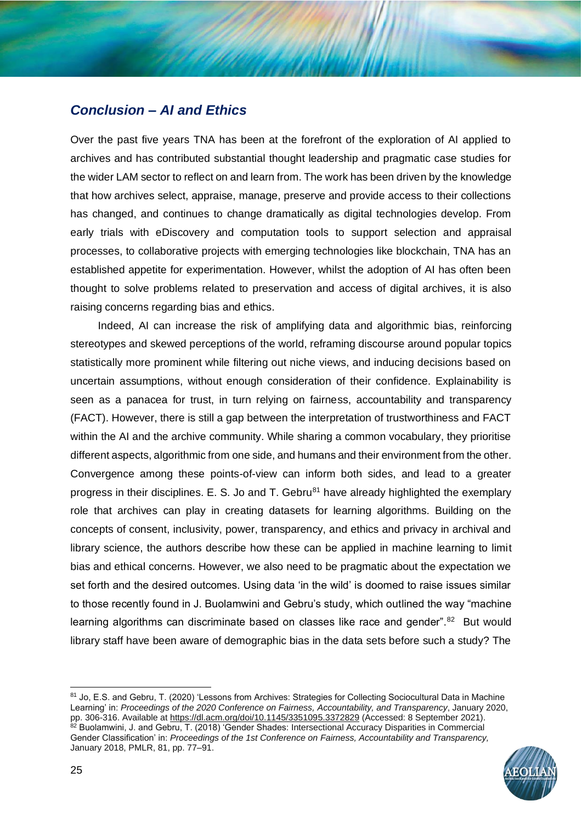## *Conclusion – AI and Ethics*

Over the past five years TNA has been at the forefront of the exploration of AI applied to archives and has contributed substantial thought leadership and pragmatic case studies for the wider LAM sector to reflect on and learn from. The work has been driven by the knowledge that how archives select, appraise, manage, preserve and provide access to their collections has changed, and continues to change dramatically as digital technologies develop. From early trials with eDiscovery and computation tools to support selection and appraisal processes, to collaborative projects with emerging technologies like blockchain, TNA has an established appetite for experimentation. However, whilst the adoption of AI has often been thought to solve problems related to preservation and access of digital archives, it is also raising concerns regarding bias and ethics.

Indeed, AI can increase the risk of amplifying data and algorithmic bias, reinforcing stereotypes and skewed perceptions of the world, reframing discourse around popular topics statistically more prominent while filtering out niche views, and inducing decisions based on uncertain assumptions, without enough consideration of their confidence. Explainability is seen as a panacea for trust, in turn relying on fairness, accountability and transparency (FACT). However, there is still a gap between the interpretation of trustworthiness and FACT within the AI and the archive community. While sharing a common vocabulary, they prioritise different aspects, algorithmic from one side, and humans and their environment from the other. Convergence among these points-of-view can inform both sides, and lead to a greater progress in their disciplines. E. S. Jo and T. Gebru<sup>81</sup> have already highlighted the exemplary role that archives can play in creating datasets for learning algorithms. Building on the concepts of consent, inclusivity, power, transparency, and ethics and privacy in archival and library science, the authors describe how these can be applied in machine learning to limit bias and ethical concerns. However, we also need to be pragmatic about the expectation we set forth and the desired outcomes. Using data 'in the wild' is doomed to raise issues similar to those recently found in J. Buolamwini and Gebru's study, which outlined the way "machine learning algorithms can discriminate based on classes like race and gender".<sup>82</sup> But would library staff have been aware of demographic bias in the data sets before such a study? The

<sup>81</sup> Jo, E.S. and Gebru, T. (2020) 'Lessons from Archives: Strategies for Collecting Sociocultural Data in Machine Learning' in: *Proceedings of the 2020 Conference on Fairness, Accountability, and Transparency*, January 2020, pp. 306-316. Available at<https://dl.acm.org/doi/10.1145/3351095.3372829> (Accessed: 8 September 2021). 82 Buolamwini, J. and Gebru, T. (2018) 'Gender Shades: Intersectional Accuracy Disparities in Commercial Gender Classification' in: *Proceedings of the 1st Conference on Fairness, Accountability and Transparency,* January 2018, PMLR, 81, pp. 77–91.

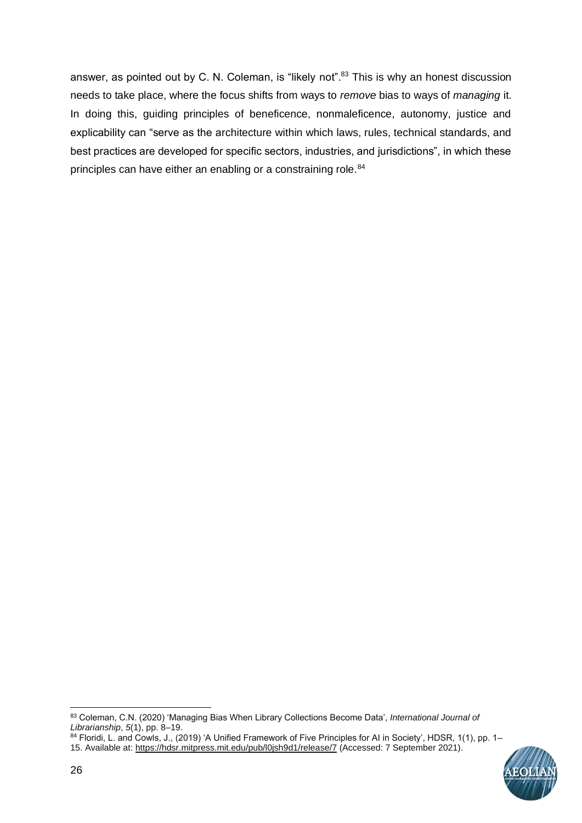answer, as pointed out by C. N. Coleman, is "likely not".<sup>83</sup> This is why an honest discussion needs to take place, where the focus shifts from ways to *remove* bias to ways of *managing* it. In doing this, guiding principles of beneficence, nonmaleficence, autonomy, justice and explicability can "serve as the architecture within which laws, rules, technical standards, and best practices are developed for specific sectors, industries, and jurisdictions", in which these principles can have either an enabling or a constraining role.<sup>84</sup>

<sup>84</sup> Floridi, L. and Cowls, J., (2019) 'A Unified Framework of Five Principles for AI in Society', HDSR, 1(1), pp. 1– 15. Available at[: https://hdsr.mitpress.mit.edu/pub/l0jsh9d1/release/7](https://hdsr.mitpress.mit.edu/pub/l0jsh9d1/release/7) (Accessed: 7 September 2021).



<sup>83</sup> Coleman, C.N. (2020) 'Managing Bias When Library Collections Become Data', *International Journal of Librarianship*, *5*(1), pp. 8–19.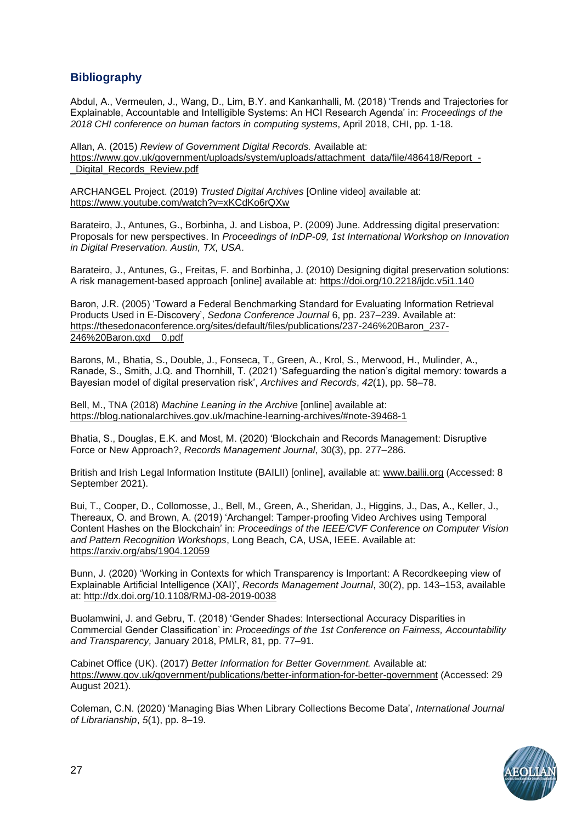## **Bibliography**

Abdul, A., Vermeulen, J., Wang, D., Lim, B.Y. and Kankanhalli, M. (2018) 'Trends and Trajectories for Explainable, Accountable and Intelligible Systems: An HCI Research Agenda' in: *Proceedings of the 2018 CHI conference on human factors in computing systems*, April 2018, CHI, pp. 1-18.

Allan, A. (2015) *Review of Government Digital Records.* Available at: [https://www.gov.uk/government/uploads/system/uploads/attachment\\_data/file/486418/Report\\_-](https://www.gov.uk/government/uploads/system/uploads/attachment_data/file/486418/Report_-_Digital_Records_Review.pdf) Digital Records Review.pdf

ARCHANGEL Project. (2019) *Trusted Digital Archives* [Online video] available at: <https://www.youtube.com/watch?v=xKCdKo6rQXw>

Barateiro, J., Antunes, G., Borbinha, J. and Lisboa, P. (2009) June. Addressing digital preservation: Proposals for new perspectives. In *Proceedings of InDP-09, 1st International Workshop on Innovation in Digital Preservation. Austin, TX, USA*.

Barateiro, J., Antunes, G., Freitas, F. and Borbinha, J. (2010) Designing digital preservation solutions: A risk management-based approach [online] available at:<https://doi.org/10.2218/ijdc.v5i1.140>

Baron, J.R. (2005) 'Toward a Federal Benchmarking Standard for Evaluating Information Retrieval Products Used in E-Discovery', *Sedona Conference Journal* 6, pp. 237–239. Available at: [https://thesedonaconference.org/sites/default/files/publications/237-246%20Baron\\_237-](https://thesedonaconference.org/sites/default/files/publications/237-246%20Baron_237-246%20Baron.qxd__0.pdf) [246%20Baron.qxd\\_\\_0.pdf](https://thesedonaconference.org/sites/default/files/publications/237-246%20Baron_237-246%20Baron.qxd__0.pdf)

Barons, M., Bhatia, S., Double, J., Fonseca, T., Green, A., Krol, S., Merwood, H., Mulinder, A., Ranade, S., Smith, J.Q. and Thornhill, T. (2021) 'Safeguarding the nation's digital memory: towards a Bayesian model of digital preservation risk', *Archives and Records*, *42*(1), pp. 58–78.

Bell, M., TNA (2018) *Machine Leaning in the Archive* [online] available at: <https://blog.nationalarchives.gov.uk/machine-learning-archives/#note-39468-1>

Bhatia, S., Douglas, E.K. and Most, M. (2020) 'Blockchain and Records Management: Disruptive Force or New Approach?, *Records Management Journal*, 30(3), pp. 277–286.

British and Irish Legal Information Institute (BAILII) [online], available at: [www.bailii.org](http://www.bailii.org/) (Accessed: 8 September 2021).

Bui, T., Cooper, D., Collomosse, J., Bell, M., Green, A., Sheridan, J., Higgins, J., Das, A., Keller, J., Thereaux, O. and Brown, A. (2019) 'Archangel: Tamper-proofing Video Archives using Temporal Content Hashes on the Blockchain' in: *Proceedings of the IEEE/CVF Conference on Computer Vision and Pattern Recognition Workshops*, Long Beach, CA, USA, IEEE. Available at: <https://arxiv.org/abs/1904.12059>

Bunn, J. (2020) 'Working in Contexts for which Transparency is Important: A Recordkeeping view of Explainable Artificial Intelligence (XAI)', *Records Management Journal*, 30(2), pp. 143–153, available at:<http://dx.doi.org/10.1108/RMJ-08-2019-0038>

Buolamwini, J. and Gebru, T. (2018) 'Gender Shades: Intersectional Accuracy Disparities in Commercial Gender Classification' in: *Proceedings of the 1st Conference on Fairness, Accountability and Transparency,* January 2018, PMLR, 81, pp. 77–91.

Cabinet Office (UK). (2017) *Better Information for Better Government.* Available at: <https://www.gov.uk/government/publications/better-information-for-better-government> (Accessed: 29 August 2021).

Coleman, C.N. (2020) 'Managing Bias When Library Collections Become Data', *International Journal of Librarianship*, *5*(1), pp. 8–19.

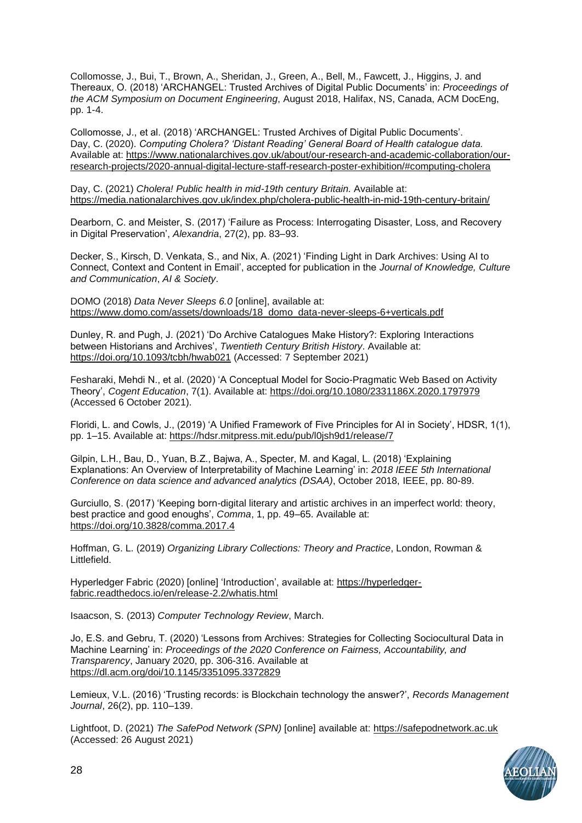Collomosse, J., Bui, T., Brown, A., Sheridan, J., Green, A., Bell, M., Fawcett, J., Higgins, J. and Thereaux, O. (2018) 'ARCHANGEL: Trusted Archives of Digital Public Documents' in: *Proceedings of the ACM Symposium on Document Engineering*, August 2018, Halifax, NS, Canada, ACM DocEng, pp. 1-4.

Collomosse, J., et al. (2018) 'ARCHANGEL: Trusted Archives of Digital Public Documents'. Day, C. (2020). *Computing Cholera? 'Distant Reading' General Board of Health catalogue data.* Available at: [https://www.nationalarchives.gov.uk/about/our-research-and-academic-collaboration/our](https://www.nationalarchives.gov.uk/about/our-research-and-academic-collaboration/our-research-projects/2020-annual-digital-lecture-staff-research-poster-exhibition/#computing-cholera)[research-projects/2020-annual-digital-lecture-staff-research-poster-exhibition/#computing-cholera](https://www.nationalarchives.gov.uk/about/our-research-and-academic-collaboration/our-research-projects/2020-annual-digital-lecture-staff-research-poster-exhibition/#computing-cholera)

Day, C. (2021) *Cholera! Public health in mid-19th century Britain.* Available at: <https://media.nationalarchives.gov.uk/index.php/cholera-public-health-in-mid-19th-century-britain/>

Dearborn, C. and Meister, S. (2017) 'Failure as Process: Interrogating Disaster, Loss, and Recovery in Digital Preservation', *Alexandria*, 27(2), pp. 83–93.

Decker, S., Kirsch, D. Venkata, S., and Nix, A. (2021) 'Finding Light in Dark Archives: Using AI to Connect, Context and Content in Email', accepted for publication in the *Journal of Knowledge, Culture and Communication*, *AI & Society*.

DOMO (2018) *Data Never Sleeps 6.0* [online], available at: [https://www.domo.com/assets/downloads/18\\_domo\\_data-never-sleeps-6+verticals.pdf](https://www.domo.com/assets/downloads/18_domo_data-never-sleeps-6+verticals.pdf)

Dunley, R. and Pugh, J. (2021) 'Do Archive Catalogues Make History?: Exploring Interactions between Historians and Archives', *Twentieth Century British History*. Available at: <https://doi.org/10.1093/tcbh/hwab021> (Accessed: 7 September 2021)

Fesharaki, Mehdi N., et al. (2020) 'A Conceptual Model for Socio-Pragmatic Web Based on Activity Theory', *Cogent Education*, 7(1). Available at:<https://doi.org/10.1080/2331186X.2020.1797979> (Accessed 6 October 2021).

Floridi, L. and Cowls, J., (2019) 'A Unified Framework of Five Principles for AI in Society', HDSR, 1(1), pp. 1–15. Available at:<https://hdsr.mitpress.mit.edu/pub/l0jsh9d1/release/7>

Gilpin, L.H., Bau, D., Yuan, B.Z., Bajwa, A., Specter, M. and Kagal, L. (2018) 'Explaining Explanations: An Overview of Interpretability of Machine Learning' in: *2018 IEEE 5th International Conference on data science and advanced analytics (DSAA)*, October 2018, IEEE, pp. 80-89.

Gurciullo, S. (2017) 'Keeping born-digital literary and artistic archives in an imperfect world: theory, best practice and good enoughs', *Comma*, 1, pp. 49–65. Available at: <https://doi.org/10.3828/comma.2017.4>

Hoffman, G. L. (2019) *Organizing Library Collections: Theory and Practice*, London, Rowman & Littlefield.

Hyperledger Fabric (2020) [online] 'Introduction', available at: [https://hyperledger](https://hyperledger-fabric.readthedocs.io/en/release-2.2/whatis.html)[fabric.readthedocs.io/en/release-2.2/whatis.html](https://hyperledger-fabric.readthedocs.io/en/release-2.2/whatis.html)

Isaacson, S. (2013) *Computer Technology Review*, March.

Jo, E.S. and Gebru, T. (2020) 'Lessons from Archives: Strategies for Collecting Sociocultural Data in Machine Learning' in: *Proceedings of the 2020 Conference on Fairness, Accountability, and Transparency*, January 2020, pp. 306-316. Available at <https://dl.acm.org/doi/10.1145/3351095.3372829>

Lemieux, V.L. (2016) 'Trusting records: is Blockchain technology the answer?', *Records Management Journal*, 26(2), pp. 110–139.

Lightfoot, D. (2021) *The SafePod Network (SPN)* [online] available at: [https://safepodnetwork.ac.uk](https://safepodnetwork.ac.uk/) (Accessed: 26 August 2021)

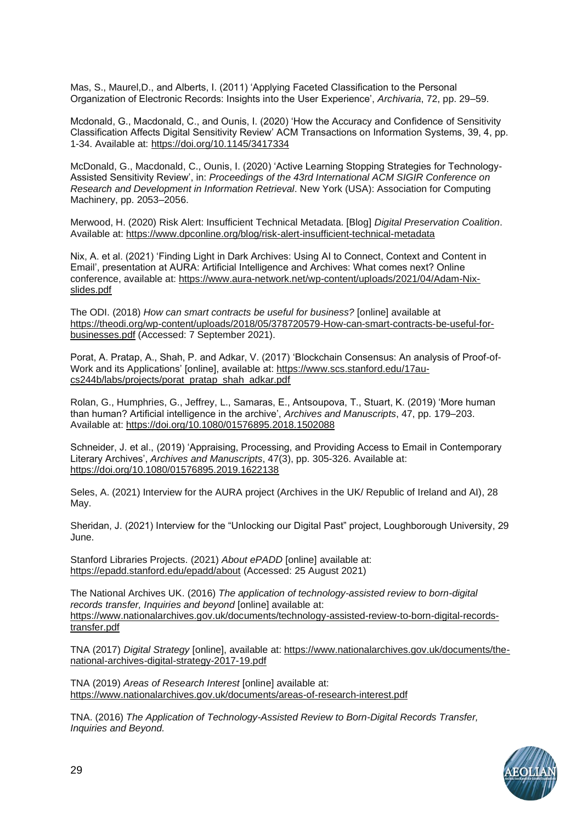Mas, S., Maurel,D., and Alberts, I. (2011) 'Applying Faceted Classification to the Personal Organization of Electronic Records: Insights into the User Experience', *Archivaria*, 72, pp. 29–59.

Mcdonald, G., Macdonald, C., and Ounis, I. (2020) 'How the Accuracy and Confidence of Sensitivity Classification Affects Digital Sensitivity Review' ACM Transactions on Information Systems, 39, 4, pp. 1-34. Available at:<https://doi.org/10.1145/3417334>

McDonald, G., Macdonald, C., Ounis, I. (2020) 'Active Learning Stopping Strategies for Technology-Assisted Sensitivity Review', in: *Proceedings of the 43rd International ACM SIGIR Conference on Research and Development in Information Retrieval*. New York (USA): Association for Computing Machinery, pp. 2053–2056.

Merwood, H. (2020) Risk Alert: Insufficient Technical Metadata. [Blog] *Digital Preservation Coalition*. Available at:<https://www.dpconline.org/blog/risk-alert-insufficient-technical-metadata>

Nix, A. et al. (2021) 'Finding Light in Dark Archives: Using AI to Connect, Context and Content in Email', presentation at AURA: Artificial Intelligence and Archives: What comes next? Online conference, available at: [https://www.aura-network.net/wp-content/uploads/2021/04/Adam-Nix](https://www.aura-network.net/wp-content/uploads/2021/04/Adam-Nix-slides.pdf)[slides.pdf](https://www.aura-network.net/wp-content/uploads/2021/04/Adam-Nix-slides.pdf)

The ODI. (2018) *How can smart contracts be useful for business?* [online] available at [https://theodi.org/wp-content/uploads/2018/05/378720579-How-can-smart-contracts-be-useful-for](https://theodi.org/wp-content/uploads/2018/05/378720579-How-can-smart-contracts-be-useful-for-businesses.pdf)[businesses.pdf](https://theodi.org/wp-content/uploads/2018/05/378720579-How-can-smart-contracts-be-useful-for-businesses.pdf) (Accessed: 7 September 2021).

Porat, A. Pratap, A., Shah, P. and Adkar, V. (2017) 'Blockchain Consensus: An analysis of Proof-of-Work and its Applications' [online], available at: [https://www.scs.stanford.edu/17au](https://www.scs.stanford.edu/17au-cs244b/labs/projects/porat_pratap_shah_adkar.pdf)[cs244b/labs/projects/porat\\_pratap\\_shah\\_adkar.pdf](https://www.scs.stanford.edu/17au-cs244b/labs/projects/porat_pratap_shah_adkar.pdf)

Rolan, G., Humphries, G., Jeffrey, L., Samaras, E., Antsoupova, T., Stuart, K. (2019) 'More human than human? Artificial intelligence in the archive', *Archives and Manuscripts*, 47, pp. 179–203. Available at:<https://doi.org/10.1080/01576895.2018.1502088>

Schneider, J. et al., (2019) 'Appraising, Processing, and Providing Access to Email in Contemporary Literary Archives', *Archives and Manuscripts*, 47(3), pp. 305-326. Available at: <https://doi.org/10.1080/01576895.2019.1622138>

Seles, A. (2021) Interview for the AURA project (Archives in the UK/ Republic of Ireland and AI), 28 May.

Sheridan, J. (2021) Interview for the "Unlocking our Digital Past" project, Loughborough University, 29 June.

Stanford Libraries Projects. (2021) *About ePADD* [online] available at: <https://epadd.stanford.edu/epadd/about> (Accessed: 25 August 2021)

The National Archives UK. (2016) *The application of technology-assisted review to born-digital records transfer, Inquiries and beyond* [online] available at: [https://www.nationalarchives.gov.uk/documents/technology-assisted-review-to-born-digital-records](https://www.nationalarchives.gov.uk/documents/technology-assisted-review-to-born-digital-records-transfer.pdf)[transfer.pdf](https://www.nationalarchives.gov.uk/documents/technology-assisted-review-to-born-digital-records-transfer.pdf)

TNA (2017) *Digital Strategy* [online], available at: [https://www.nationalarchives.gov.uk/documents/the](https://www.nationalarchives.gov.uk/documents/the-national-archives-digital-strategy-2017-19.pdf)[national-archives-digital-strategy-2017-19.pdf](https://www.nationalarchives.gov.uk/documents/the-national-archives-digital-strategy-2017-19.pdf)

TNA (2019) *Areas of Research Interest* [online] available at: <https://www.nationalarchives.gov.uk/documents/areas-of-research-interest.pdf>

TNA. (2016) *The Application of Technology-Assisted Review to Born-Digital Records Transfer, Inquiries and Beyond.*